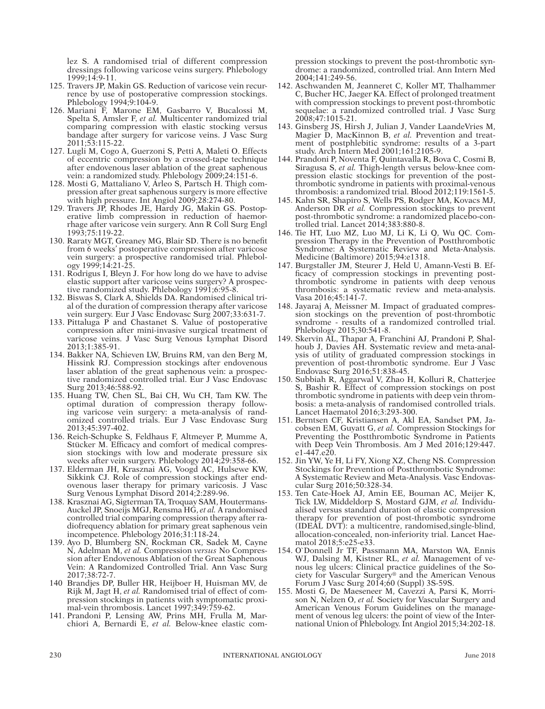lez S. A randomised trial of different compression dressings following varicose veins surgery. Phlebology 1999;14:9-11.

- 125. Travers JP, Makin GS. Reduction of varicose vein recurrence by use of postoperative compression stockings. Phlebology 1994;9:104-9.
- 126. Mariani F, Marone EM, Gasbarro V, Bucalossi M, Spelta S, Amsler F, *et al.* Multicenter randomized trial comparing compression with elastic stocking versus bandage after surgery for varicose veins. J Vasc Surg 2011;53:115-22.
- 127. Lugli M, Cogo A, Guerzoni S, Petti A, Maleti O. Effects of eccentric compression by a crossed-tape technique after endovenous laser ablation of the great saphenous vein: a randomized study. Phlebology 2009;24:151-6.
- 128. Mosti G, Mattaliano V, Arleo S, Partsch H. Thigh compression after great saphenous surgery is more effective with high pressure. Int Angiol 2009;28:274-80.
- 129. Travers JP, Rhodes JE, Hardy JG, Makin GS. Postoperative limb compression in reduction of haemorrhage after varicose vein surgery. Ann R Coll Surg Engl 1993;75:119-22.
- 130. Raraty MGT, Greaney MG, Blair SD. There is no benefit from 6 weeks' postoperative compression after varicose vein surgery: a prospective randomised trial. Phlebology 1999;14:21-25.
- 131. Rodrigus I, Bleyn J. For how long do we have to advise elastic support after varicose veins surgery? A prospective randomized study. Phlebology 1991;6:95-8.
- 132. Biswas S, Clark A, Shields DA. Randomised clinical trial of the duration of compression therapy after varicose vein surgery. Eur J Vasc Endovasc Surg 2007;33:631-7.
- 133. Pittaluga P and Chastanet S. Value of postoperative compression after mini-invasive surgical treatment of varicose veins. J Vasc Surg Venous Lymphat Disord 2013;1:385-91.
- 134. Bakker NA, Schieven LW, Bruins RM, van den Berg M, Hissink RJ. Compression stockings after endovenous laser ablation of the great saphenous vein: a prospective randomized controlled trial. Eur J Vasc Endovasc Surg 2013;46:588-92.
- 135. Huang TW, Chen SL, Bai CH, Wu CH, Tam KW. The optimal duration of compression therapy following varicose vein surgery: a meta-analysis of randomized controlled trials. Eur J Vasc Endovasc Surg 2013;45:397-402.
- 136. Reich-Schupke S, Feldhaus F, Altmeyer P, Mumme A, Stücker M. Efficacy and comfort of medical compression stockings with low and moderate pressure six weeks after vein surgery. Phlebology 2014;29:358-66.
- 137. Elderman JH, Krasznai AG, Voogd AC, Hulsewe KW, Sikkink CJ. Role of compression stockings after endovenous laser therapy for primary varicosis. J Vasc Surg Venous Lymphat Disord 2014;2:289-96.
- 138. Krasznai AG, Sigterman TA, Troquay SAM, Houtermans-Auckel JP, Snoeijs MGJ, Rensma HG, *et al.* A randomised controlled trial comparing compression therapy after radiofrequency ablation for primary great saphenous vein incompetence. Phlebology 2016;31:118-24.
- 139. Ayo D, Blumberg SN, Rockman CR, Sadek M, Cayne N, Adelman M, *et al.* Compression *versus* No Compression after Endovenous Ablation of the Great Saphenous Vein: A Randomized Controlled Trial. Ann Vasc Surg 2017;38:72-7.
- 140 Brandjes DP, Buller HR, Heijboer H, Huisman MV, de Rijk M, Jagt H, *et al.* Randomised trial of effect of compression stockings in patients with symptomatic proximal-vein thrombosis. Lancet 1997;349:759-62.
- 141. Prandoni P, Lensing AW, Prins MH, Frulla M, Marchiori A, Bernardi E, *et al.* Below-knee elastic com-

pression stockings to prevent the post-thrombotic syndrome: a randomized, controlled trial. Ann Intern Med 2004;141:249-56.

- 142. Aschwanden M, Jeanneret C, Koller MT, Thalhammer C, Bucher HC, Jaeger KA. Effect of prolonged treatment with compression stockings to prevent post-thrombotic sequelae: a randomized controlled trial. J Vasc Surg 2008;47:1015-21.
- 143. Ginsberg JS, Hirsh J, Julian J, Vander LaandeVries M, Magier D, MacKinnon B, *et al.* Prevention and treatment of postphlebitic syndrome: results of a 3-part study. Arch Intern Med 2001;161:2105-9.
- 144. Prandoni P, Noventa F, Quintavalla R, Bova C, Cosmi B, Siragusa S, *et al.* Thigh-length versus below-knee compression elastic stockings for prevention of the postthrombotic syndrome in patients with proximal-venous thrombosis: a randomized trial. Blood 2012;119:1561-5.
- 145. Kahn SR, Shapiro S, Wells PS, Rodger MA, Kovacs MJ, Anderson DR *et al.* Compression stockings to prevent post-thrombotic syndrome: a randomized placebo-controlled trial. Lancet 2014;383:880-8.
- 146. Tie HT, Luo MZ, Luo MJ, Li K, Li Q, Wu QC. Compression Therapy in the Prevention of Postthrombotic Syndrome: A Systematic Review and Meta-Analysis. Medicine (Baltimore) 2015;94:e1318.
- 147. Burgstaller JM, Steurer J, Held U, Amann-Vesti B. Efficacy of compression stockings in preventing postthrombotic syndrome in patients with deep venous thrombosis: a systematic review and meta-analysis. Vasa 2016;45:141-7.
- 148. Jayaraj A, Meissner M. Impact of graduated compression stockings on the prevention of post-thrombotic syndrome - results of a randomized controlled trial. Phlebology 2015;30:541-8.
- 149. Skervin AL, Thapar A, Franchini AJ, Prandoni P, Shalhoub J, Davies AH. Systematic review and meta-analysis of utility of graduated compression stockings in prevention of post-thrombotic syndrome. Eur J Vasc Endovasc Surg 2016;51:838-45.
- 150. Subbiah R, Aggarwal V, Zhao H, Kolluri R, Chatterjee S, Bashir R. Effect of compression stockings on post thrombotic syndrome in patients with deep vein thrombosis: a meta-analysis of randomised controlled trials. Lancet Haematol 2016;3:293-300.
- 151. Berntsen CF, Kristiansen A, Akl EA, Sandset PM, Jacobsen EM, Guyatt G, *et al.* Compression Stockings for Preventing the Postthrombotic Syndrome in Patients with Deep Vein Thrombosis. Am J Med 2016;129:447. e1-447.e20.
- 152. Jin YW, Ye H, Li FY, Xiong XZ, Cheng NS. Compression Stockings for Prevention of Postthrombotic Syndrome: A Systematic Review and Meta-Analysis. Vasc Endovascular Surg 2016;50:328-34.
- 153. Ten Cate-Hoek AJ, Amin EE, Bouman AC, Meijer K, Tick LW, Middeldorp S, Mostard GJM, *et al.* Individualised versus standard duration of elastic compression therapy for prevention of post-thrombotic syndrome (IDEAL DVT): a multicentre, randomised,single-blind, allocation-concealed, non-inferiority trial. Lancet Haematol 2018;5:e25-e33.
- 154. O`Donnell Jr TF, Passmann MA, Marston WA, Ennis WJ, Dalsing M, Kistner RL, *et al.* Management of venous leg ulcers: Clinical practice guidelines of the Society for Vascular Surgery® and the American Venous Forum J Vasc Surg 2014;60 (Suppl) 3S-59S.
- 155. Mosti G, De Maeseneer M, Cavezzi A, Parsi K, Morrison N, Nelzen O, *et al.* Society for Vascular Surgery and American Venous Forum Guidelines on the management of venous leg ulcers: the point of view of the International Union of Phlebology. Int Angiol 2015;34:202-18.

not permitted it is not permove, coverlay, obscure, block, or change any bagginerary copyright notices or terms post may post on the Article. It is not permitted to frame or use framing techniques to enclose any trademark, This document is protected by international copyright laws. No additional reproduction is authorized. It is permitted for personal use to download and save only one file and print only one copy of this Article. It is not p means which may allow access to the Article. The use of all or any part of the Article for any Commercial Use is not permitted. The creation of derivative works from the Article is not permitted. The production of reprints This document is protected by rinternational reproduction is authorized. It is permitted for personal use to download and save only one file and print only one copy of this Article. It is not permitted to make additional c either sporadically, either printed or electronic) of the Article for any purpose. It is not permitted to permitted to distribute the electronic copy of the article thing internet and/or intranet file sharing systems, elec or other proprietary information of the Publisher.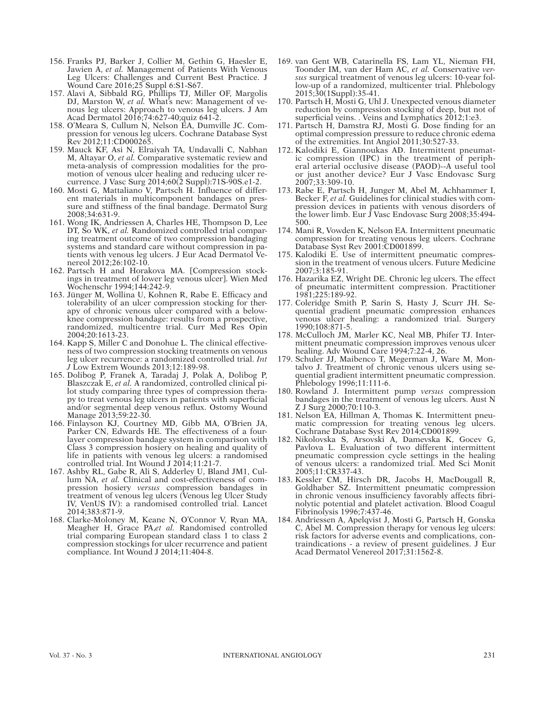- 156. Franks PJ, Barker J, Collier M, Gethin G, Haesler E, Jawien A, *et al.* Management of Patients With Venous Leg Ulcers: Challenges and Current Best Practice. J Wound Care 2016;25 Suppl 6:S1-S67.
- 157. Alavi A, Sibbald RG, Phillips TJ, Miller OF, Margolis DJ, Marston W, *et al.* What's new: Management of venous leg ulcers: Approach to venous leg ulcers. J Am Acad Dermatol 2016;74:627-40;quiz 641-2.
- 158. O'Meara S, Cullum N, Nelson EA, Dumville JC. Compression for venous leg ulcers. Cochrane Database Syst Rev 2012;11:CD000265.
- 159. Mauck KF, Asi N, Elraiyah TA, Undavalli C, Nabhan M, Altayar O, *et al.* Comparative systematic review and meta-analysis of compression modalities for the promotion of venous ulcer healing and reducing ulcer recurrence. J Vasc Surg 2014;60(2 Suppl):71S-90S.e1-2.
- 160. Mosti G, Mattaliano V, Partsch H. Influence of different materials in multicomponent bandages on pressure and stiffness of the final bandage. Dermatol Surg 2008;34:631-9.
- 161. Wong IK, Andriessen A, Charles HE, Thompson D, Lee DT, So WK, *et al.* Randomized controlled trial comparing treatment outcome of two compression bandaging systems and standard care without compression in patients with venous leg ulcers. J Eur Acad Dermatol Venereol 2012;26:102-10.
- 162. Partsch H and Horakova MA. [Compression stockings in treatment of lower leg venous ulcer]. Wien Med Wochenschr 1994;144:242-9.
- 163. Jünger M, Wollina U, Kohnen R, Rabe E. Efficacy and tolerability of an ulcer compression stocking for therapy of chronic venous ulcer compared with a belowknee compression bandage: results from a prospective, randomized, multicentre trial. Curr Med Res Opin 2004;20:1613-23.
- 164. Kapp S, Miller C and Donohue L. The clinical effectiveness of two compression stocking treatments on venous leg ulcer recurrence: a randomized controlled trial. *Int J* Low Extrem Wounds 2013;12:189-98.
- 165. Dolibog P, Franek A, Taradaj J, Polak A, Dolibog P, Blaszczak E, *et al.* A randomized, controlled clinical pilot study comparing three types of compression therapy to treat venous leg ulcers in patients with superficial and/or segmental deep venous reflux. Ostomy Wound Manage 2013;59:22-30.
- 166. Finlayson KJ, Courtney MD, Gibb MA, O'Brien JA, Parker CN, Edwards HE. The effectiveness of a fourlayer compression bandage system in comparison with Class 3 compression hosiery on healing and quality of life in patients with venous leg ulcers: a randomised controlled trial. Int Wound J 2014;11:21-7.
- 167. Ashby RL, Gabe R, Ali S, Adderley U, Bland JM1, Cullum NA, *et al.* Clinical and cost-effectiveness of compression hosiery *versus* compression bandages in treatment of venous leg ulcers (Venous leg Ulcer Study IV, VenUS IV): a randomised controlled trial. Lancet 2014;383:871-9.
- 168. Clarke-Moloney M, Keane N, O'Connor V, Ryan MA, Meagher H, Grace PA,*et al.* Randomised controlled trial comparing European standard class 1 to class 2 compression stockings for ulcer recurrence and patient compliance. Int Wound J 2014;11:404-8.
- 169. van Gent WB, Catarinella FS, Lam YL, Nieman FH, Toonder IM, van der Ham AC, *et al.* Conservative *versus* surgical treatment of venous leg ulcers: 10-year follow-up of a randomized, multicenter trial. Phlebology 2015;30(1Suppl):35-41.
- 170. Partsch H, Mosti G, Uhl J. Unexpected venous diameter reduction by compression stocking of deep, but not of superficial veins. . Veins and Lymphatics 2012;1:e3.
- 171. Partsch H, Damstra RJ, Mosti G. Dose finding for an optimal compression pressure to reduce chronic edema of the extremities. Int Angiol 2011;30:527-33.
- 172. Kalodiki E, Giannoukas AD. Intermittent pneumatic compression (IPC) in the treatment of peripheral arterial occlusive disease (PAOD)--A useful tool or just another device? Eur J Vasc Endovasc Surg 2007;33:309-10.
- 173. Rabe E, Partsch H, Junger M, Abel M, Achhammer I, Becker F, *et al.* Guidelines for clinical studies with compression devices in patients with venous disorders of the lower limb. Eur J Vasc Endovasc Surg 2008;35:494- 500.
- 174. Mani R, Vowden K, Nelson EA. Intermittent pneumatic compression for treating venous leg ulcers. Cochrane Database Syst Rev 2001:CD001899.
- 175. Kalodiki E. Use of intermittent pneumatic compression in the treatment of venous ulcers. Future Medicine 2007;3:185-91.
- 176. Hazarika EZ, Wright DE. Chronic leg ulcers. The effect of pneumatic intermittent compression. Practitioner 1981;225:189-92.
- 177. Coleridge Smith P, Sarin S, Hasty J, Scurr JH. Sequential gradient pneumatic compression enhances venous ulcer healing: a randomized trial. Surgery 1990;108:871-5.
- 178. McCulloch JM, Marler KC, Neal MB, Phifer TJ. Intermittent pneumatic compression improves venous ulcer healing. Adv Wound Care 1994;7:22-4, 26.
- 179. Schuler JJ, Maibenco T, Megerman J, Ware M, Montalvo J. Treatment of chronic venous ulcers using sequential gradient intermittent pneumatic compression. Phlebology 1996;11:111-6.
- 180. Rowland J. Intermittent pump *versus* compression bandages in the treatment of venous leg ulcers. Aust N Z J Surg 2000;70:110-3.
- 181. Nelson EA, Hillman A, Thomas K. Intermittent pneumatic compression for treating venous leg ulcers. Cochrane Database Syst Rev 2014;CD001899.
- 182. Nikolovska S, Arsovski A, Damevska K, Gocev G, Pavlova L. Evaluation of two different intermittent pneumatic compression cycle settings in the healing of venous ulcers: a randomized trial. Med Sci Monit 2005;11:CR337-43.
- 183. Kessler CM, Hirsch DR, Jacobs H, MacDougall R, Goldhaber SZ. Intermittent pneumatic compression in chronic venous insufficiency favorably affects fibrinolytic potential and platelet activation. Blood Coagul Fibrinolysis 1996;7:437-46.
- 184. Andriessen A, Apelqvist J, Mosti G, Partsch H, Gonska C, Abel M. Compression therapy for venous leg ulcers: risk factors for adverse events and complications, contraindications - a review of present guidelines. J Eur Acad Dermatol Venereol 2017;31:1562-8.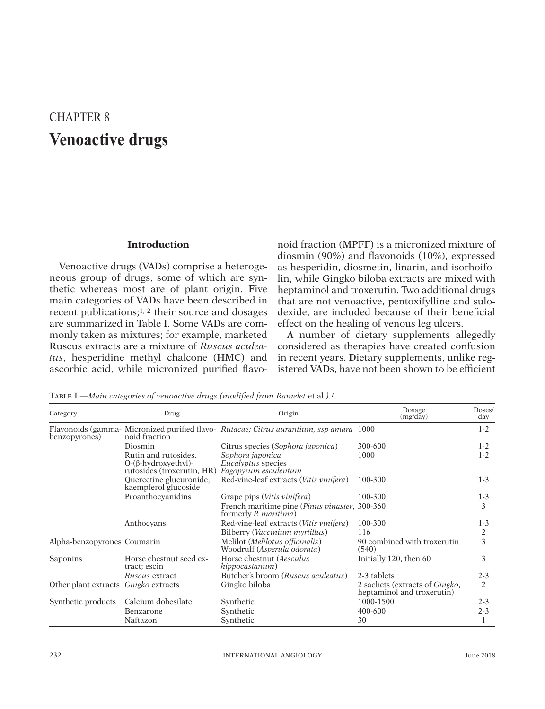# CHAPTER 8 **Venoactive drugs**

#### **Introduction**

Venoactive drugs (VADs) comprise a heterogeneous group of drugs, some of which are synthetic whereas most are of plant origin. Five main categories of VADs have been described in recent publications;1, 2 their source and dosages are summarized in Table I. Some VADs are commonly taken as mixtures; for example, marketed Ruscus extracts are a mixture of *Ruscus aculeatus*, hesperidine methyl chalcone (HMC) and ascorbic acid, while micronized purified flavo-

noid fraction (MPFF) is a micronized mixture of diosmin (90%) and flavonoids (10%), expressed as hesperidin, diosmetin, linarin, and isorhoifolin, while Gingko biloba extracts are mixed with heptaminol and troxerutin. Two additional drugs that are not venoactive, pentoxifylline and sulodexide, are included because of their beneficial effect on the healing of venous leg ulcers.

A number of dietary supplements allegedly considered as therapies have created confusion in recent years. Dietary supplements, unlike registered VADs, have not been shown to be efficient

TABLE I.—Main categories of venoactive drugs (modified from Ramelet et al.).<sup>1</sup>

| Category                                    | Drug                                                                             | Origin                                                                                  | Dosage<br>(mg/day)                                                   | Doses/<br>day  |
|---------------------------------------------|----------------------------------------------------------------------------------|-----------------------------------------------------------------------------------------|----------------------------------------------------------------------|----------------|
| benzopyrones)                               | noid fraction                                                                    | Flavonoids (gamma- Micronized purified flavo- Rutacae; Citrus aurantium, ssp amara 1000 |                                                                      | $1 - 2$        |
|                                             | Diosmin                                                                          | Citrus species (Sophora japonica)                                                       | 300-600                                                              | $1 - 2$        |
|                                             | Rutin and rutosides.<br>$O-(\beta-hydroxyethyl)$ -<br>rutosides (troxerutin, HR) | Sophora japonica<br><i>Eucalyptus</i> species<br>Fagopyrum esculentum                   | 1000                                                                 | $1 - 2$        |
|                                             | Quercetine glucuronide,<br>kaempferol glucoside                                  | Red-vine-leaf extracts (Vitis vinifera)                                                 | 100-300                                                              | $1 - 3$        |
|                                             | Proanthocyanidins                                                                | Grape pips ( <i>Vitis vinifera</i> )                                                    | 100-300                                                              | $1 - 3$        |
|                                             |                                                                                  | French maritime pine ( <i>Pinus pinaster</i> , 300-360<br>formerly <i>P. maritima</i> ) |                                                                      | 3              |
|                                             | Anthocyans                                                                       | Red-vine-leaf extracts (Vitis vinifera)                                                 | 100-300                                                              | $1 - 3$        |
|                                             |                                                                                  | Bilberry ( <i>Vaccinium myrtillus</i> )                                                 | 116                                                                  | 2              |
| Alpha-benzopyrones Coumarin                 |                                                                                  | Melilot (Melilotus officinalis)<br>Woodruff (Asperula odorata)                          | 90 combined with troxerutin<br>(540)                                 | 3              |
| Saponins                                    | Horse chestnut seed ex-<br>tract; escin                                          | Horse chestnut (Aesculus<br>hippocastanum)                                              | Initially 120, then 60                                               | 3              |
|                                             | Ruscus extract                                                                   | Butcher's broom (Ruscus aculeatus)                                                      | 2-3 tablets                                                          | $2 - 3$        |
| Other plant extracts <i>Gingko</i> extracts |                                                                                  | Gingko biloba                                                                           | 2 sachets (extracts of <i>Gingko</i> ,<br>heptaminol and troxerutin) | $\overline{c}$ |
| Synthetic products                          | Calcium dobesilate                                                               | Synthetic                                                                               | 1000-1500                                                            | $2 - 3$        |
|                                             | Benzarone                                                                        | Synthetic                                                                               | 400-600                                                              | $2 - 3$        |
|                                             | Naftazon                                                                         | Synthetic                                                                               | 30                                                                   |                |

This document is protected by international reproduction is authorized. It is permited for personal use to download and save only one file and print only one copy of this Article. It is not permitted to make additional cop either sporadically, either printed or electronic) of the Article for any purpose. It is not permitted to permitted to distribute the electronic copy of the article through online internet and/or intranet file sharing syst means which may allow access to the Atticle. The use of all or any part of the Atticle for any Commercial Use is not permitted. The creation of derivative works from the Article is not permitted. The production of reprints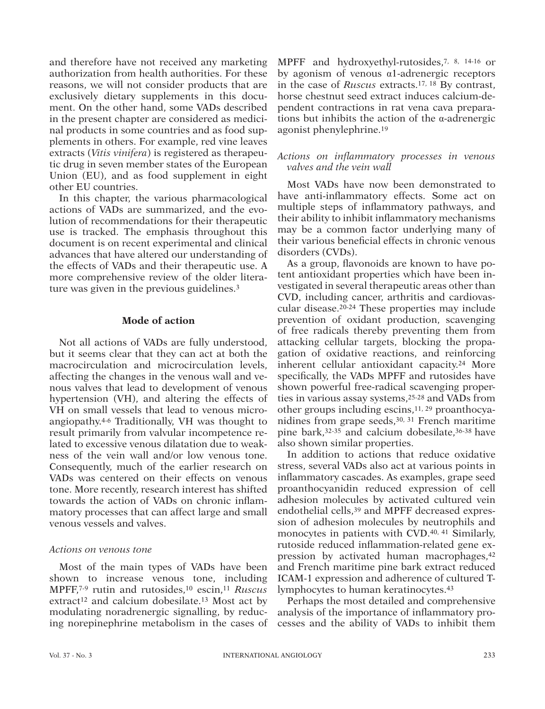and therefore have not received any marketing authorization from health authorities. For these reasons, we will not consider products that are exclusively dietary supplements in this document. On the other hand, some VADs described in the present chapter are considered as medicinal products in some countries and as food supplements in others. For example, red vine leaves extracts (*Vitis vinifera*) is registered as therapeutic drug in seven member states of the European Union (EU), and as food supplement in eight other EU countries.

In this chapter, the various pharmacological actions of VADs are summarized, and the evolution of recommendations for their therapeutic use is tracked. The emphasis throughout this document is on recent experimental and clinical advances that have altered our understanding of the effects of VADs and their therapeutic use. A more comprehensive review of the older literature was given in the previous guidelines.3

### **Mode of action**

Not all actions of VADs are fully understood, but it seems clear that they can act at both the macrocirculation and microcirculation levels, affecting the changes in the venous wall and venous valves that lead to development of venous hypertension (VH), and altering the effects of VH on small vessels that lead to venous microangiopathy.4-6 Traditionally, VH was thought to result primarily from valvular incompetence related to excessive venous dilatation due to weakness of the vein wall and/or low venous tone. Consequently, much of the earlier research on VADs was centered on their effects on venous tone. More recently, research interest has shifted towards the action of VADs on chronic inflammatory processes that can affect large and small venous vessels and valves.

#### *Actions on venous tone*

Most of the main types of VADs have been shown to increase venous tone, including MPFF,7-9 rutin and rutosides,10 escin,11 *Ruscus* extract<sup>12</sup> and calcium dobesilate.<sup>13</sup> Most act by modulating noradrenergic signalling, by reducing norepinephrine metabolism in the cases of

MPFF and hydroxyethyl-rutosides,7, 8, 14-16 or by agonism of venous α1-adrenergic receptors in the case of *Ruscus* extracts.17, 18 By contrast, horse chestnut seed extract induces calcium-dependent contractions in rat vena cava preparations but inhibits the action of the α-adrenergic agonist phenylephrine.19

### *Actions on inflammatory processes in venous valves and the vein wall*

Most VADs have now been demonstrated to have anti-inflammatory effects. Some act on multiple steps of inflammatory pathways, and their ability to inhibit inflammatory mechanisms may be a common factor underlying many of their various beneficial effects in chronic venous disorders (CVDs).

As a group, flavonoids are known to have potent antioxidant properties which have been investigated in several therapeutic areas other than CVD, including cancer, arthritis and cardiovascular disease.20-24 These properties may include prevention of oxidant production, scavenging of free radicals thereby preventing them from attacking cellular targets, blocking the propagation of oxidative reactions, and reinforcing inherent cellular antioxidant capacity.24 More specifically, the VADs MPFF and rutosides have shown powerful free-radical scavenging properties in various assay systems,25-28 and VADs from other groups including escins,  $11, 29$  proanthocyanidines from grape seeds,30, 31 French maritime pine bark,32-35 and calcium dobesilate,36-38 have also shown similar properties.

In addition to actions that reduce oxidative stress, several VADs also act at various points in inflammatory cascades. As examples, grape seed proanthocyanidin reduced expression of cell adhesion molecules by activated cultured vein endothelial cells,39 and MPFF decreased expression of adhesion molecules by neutrophils and monocytes in patients with CVD.40, 41 Similarly, rutoside reduced inflammation-related gene expression by activated human macrophages,42 and French maritime pine bark extract reduced ICAM-1 expression and adherence of cultured Tlymphocytes to human keratinocytes.43

Perhaps the most detailed and comprehensive analysis of the importance of inflammatory processes and the ability of VADs to inhibit them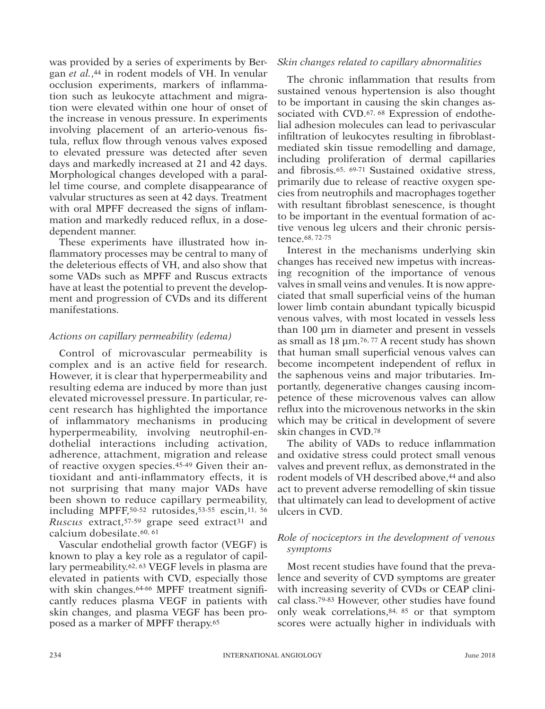was provided by a series of experiments by Bergan *et al.*,<sup>44</sup> in rodent models of VH. In venular occlusion experiments, markers of inflammation such as leukocyte attachment and migration were elevated within one hour of onset of the increase in venous pressure. In experiments involving placement of an arterio-venous fistula, reflux flow through venous valves exposed to elevated pressure was detected after seven days and markedly increased at 21 and 42 days. Morphological changes developed with a parallel time course, and complete disappearance of valvular structures as seen at 42 days. Treatment with oral MPFF decreased the signs of inflammation and markedly reduced reflux, in a dosedependent manner.

These experiments have illustrated how inflammatory processes may be central to many of the deleterious effects of VH, and also show that some VADs such as MPFF and Ruscus extracts have at least the potential to prevent the development and progression of CVDs and its different manifestations.

### *Actions on capillary permeability (edema)*

Control of microvascular permeability is complex and is an active field for research. However, it is clear that hyperpermeability and resulting edema are induced by more than just elevated microvessel pressure. In particular, recent research has highlighted the importance of inflammatory mechanisms in producing hyperpermeability, involving neutrophil-endothelial interactions including activation, adherence, attachment, migration and release of reactive oxygen species.45-49 Given their antioxidant and anti-inflammatory effects, it is not surprising that many major VADs have been shown to reduce capillary permeability, including MPFF,50-52 rutosides,53-55 escin,11, 56 *Ruscus* extract,<sup>57-59</sup> grape seed extract<sup>31</sup> and calcium dobesilate.60, 61

Vascular endothelial growth factor (VEGF) is known to play a key role as a regulator of capillary permeability.62, 63 VEGF levels in plasma are elevated in patients with CVD, especially those with skin changes.64-66 MPFF treatment significantly reduces plasma VEGF in patients with skin changes, and plasma VEGF has been proposed as a marker of MPFF therapy.65

#### *Skin changes related to capillary abnormalities*

The chronic inflammation that results from sustained venous hypertension is also thought to be important in causing the skin changes associated with CVD.<sup>67, 68</sup> Expression of endothelial adhesion molecules can lead to perivascular infiltration of leukocytes resulting in fibroblastmediated skin tissue remodelling and damage, including proliferation of dermal capillaries and fibrosis.65, 69-71 Sustained oxidative stress, primarily due to release of reactive oxygen species from neutrophils and macrophages together with resultant fibroblast senescence, is thought to be important in the eventual formation of active venous leg ulcers and their chronic persistence.68, 72-75

Interest in the mechanisms underlying skin changes has received new impetus with increasing recognition of the importance of venous valves in small veins and venules. It is now appreciated that small superficial veins of the human lower limb contain abundant typically bicuspid venous valves, with most located in vessels less than 100 μm in diameter and present in vessels as small as  $18 \mu m$ .<sup>76, 77</sup> A recent study has shown that human small superficial venous valves can become incompetent independent of reflux in the saphenous veins and major tributaries. Importantly, degenerative changes causing incompetence of these microvenous valves can allow reflux into the microvenous networks in the skin which may be critical in development of severe skin changes in CVD.78

The ability of VADs to reduce inflammation and oxidative stress could protect small venous valves and prevent reflux, as demonstrated in the rodent models of VH described above,<sup>44</sup> and also act to prevent adverse remodelling of skin tissue that ultimately can lead to development of active ulcers in CVD.

## *Role of nociceptors in the development of venous symptoms*

Most recent studies have found that the prevalence and severity of CVD symptoms are greater with increasing severity of CVDs or CEAP clinical class.79-83 However, other studies have found only weak correlations,84, 85 or that symptom scores were actually higher in individuals with

or other proprietary information of the Publisher.

This document is protected by international reproduction is authorized. It is permited for personal use to download and save only one file and print only one copy of this Article. It is not permitted to make additional cop either sporadically, either printed or electronic) of the Article for any purpose. It is not permitted to permitted to distribute the electronic copy of the article through online internet and/or intranet file sharing syst means which may allow access to the Atticle. The use of all or any part of the Atticle for any Commercial Use is not permitted. The creation of derivative works from the Article is not permitted. The production of reprints not permitted it is not permove, coverlay, obscure, block, or change any bagginerary copyright notices or terms post may post on the Article. It is not permitted to frame or use framing techniques to enclose any trademark,

This document is protected by international copyright laws. No additional reproduction is authorized. It is permitted for personal use to download and save only one file and print only one oppy of this Article. It is not p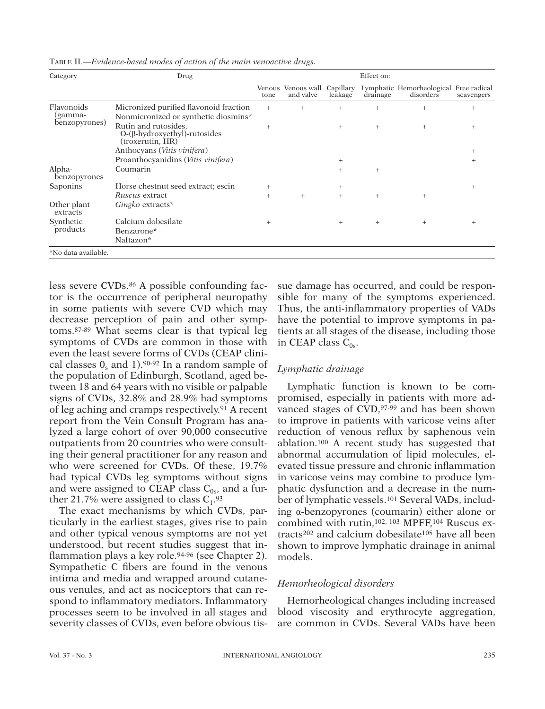| Category                               | Drug                                                                            | Effect on: |                                           |         |          |                                                     |            |  |
|----------------------------------------|---------------------------------------------------------------------------------|------------|-------------------------------------------|---------|----------|-----------------------------------------------------|------------|--|
|                                        |                                                                                 | tone       | Venous Venous wall Capillary<br>and valve | leakage | drainage | Lymphatic Hemorheological Free radical<br>disorders | scavengers |  |
| Flavonoids<br>(gamma-<br>benzopyrones) | Micronized purified flavonoid fraction<br>Nonmicronized or synthetic diosmins*  | $^{+}$     | $^{+}$                                    | $+$     | $^{+}$   | $^{+}$                                              | $^+$       |  |
|                                        | Rutin and rutosides.<br>$O-(\beta$ -hydroxyethyl)-rutosides<br>(troxerutin, HR) | $^{+}$     |                                           | $^{+}$  | $^{+}$   | $^{+}$                                              | $^{+}$     |  |
|                                        | Anthocyans ( <i>Vitis vinifera</i> )                                            |            |                                           |         |          |                                                     | $^+$       |  |
|                                        | Proanthocyanidins (Vitis vinifera)                                              |            |                                           | $^{+}$  |          |                                                     | $\pm$      |  |
| Alpha-<br>benzopyrones                 | Coumarin                                                                        |            |                                           | $+$     | $^{+}$   |                                                     |            |  |
| Saponins                               | Horse chestnut seed extract; escin                                              | $^{+}$     |                                           | $^{+}$  |          |                                                     | $^+$       |  |
|                                        | Ruscus extract                                                                  | $^{+}$     | $+$                                       | $+$     | $^{+}$   | $^{+}$                                              |            |  |
| Other plant<br>extracts                | Gingko extracts*                                                                |            |                                           |         |          |                                                     |            |  |
| Synthetic                              | Calcium dobesilate                                                              | $^{+}$     |                                           | $^{+}$  | $^{+}$   | $^{+}$                                              | ÷          |  |
| products                               | Benzarone*                                                                      |            |                                           |         |          |                                                     |            |  |
|                                        | Naftazon*                                                                       |            |                                           |         |          |                                                     |            |  |
| *No data available.                    |                                                                                 |            |                                           |         |          |                                                     |            |  |

Table II.—*Evidence-based modes of action of the main venoactive drugs.*

less severe CVDs.<sup>86</sup> A possible confounding factor is the occurrence of peripheral neuropathy in some patients with severe CVD which may decrease perception of pain and other symptoms.87-89 What seems clear is that typical leg symptoms of CVDs are common in those with even the least severe forms of CVDs (CEAP clinical classes  $0_s$  and 1).<sup>90-92</sup> In a random sample of the population of Edinburgh, Scotland, aged between 18 and 64 years with no visible or palpable signs of CVDs, 32.8% and 28.9% had symptoms of leg aching and cramps respectively.91 A recent report from the Vein Consult Program has analyzed a large cohort of over 90,000 consecutive outpatients from 20 countries who were consulting their general practitioner for any reason and who were screened for CVDs. Of these, 19.7% had typical CVDs leg symptoms without signs and were assigned to CEAP class  $C_{0s}$ , and a further 21.7% were assigned to class  $C_1$ .<sup>93</sup>

The exact mechanisms by which CVDs, particularly in the earliest stages, gives rise to pain and other typical venous symptoms are not yet understood, but recent studies suggest that inflammation plays a key role.<sup>94-96</sup> (see Chapter 2). Sympathetic C fibers are found in the venous intima and media and wrapped around cutaneous venules, and act as nociceptors that can respond to inflammatory mediators. Inflammatory processes seem to be involved in all stages and severity classes of CVDs, even before obvious tissue damage has occurred, and could be responsible for many of the symptoms experienced. Thus, the anti-inflammatory properties of VADs have the potential to improve symptoms in patients at all stages of the disease, including those in CEAP class  $C_{0s}$ .

### *Lymphatic drainage*

Lymphatic function is known to be compromised, especially in patients with more advanced stages of CVD, 97-99 and has been shown to improve in patients with varicose veins after reduction of venous reflux by saphenous vein ablation.100 A recent study has suggested that abnormal accumulation of lipid molecules, elevated tissue pressure and chronic inflammation in varicose veins may combine to produce lymphatic dysfunction and a decrease in the number of lymphatic vessels.101 Several VADs, including α-benzopyrones (coumarin) either alone or combined with rutin,102, 103 MPFF,104 Ruscus extracts202 and calcium dobesilate105 have all been shown to improve lymphatic drainage in animal models.

## *Hemorheological disorders*

Hemorheological changes including increased blood viscosity and erythrocyte aggregation, are common in CVDs. Several VADs have been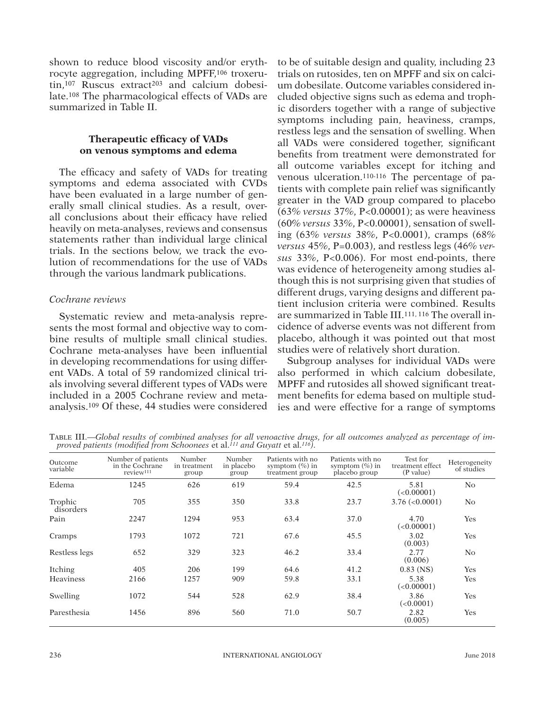shown to reduce blood viscosity and/or erythrocyte aggregation, including MPFF,106 troxerutin,<sup>107</sup> Ruscus extract<sup>203</sup> and calcium dobesilate.108 The pharmacological effects of VADs are summarized in Table II.

## **Therapeutic efficacy of VADs on venous symptoms and edema**

The efficacy and safety of VADs for treating symptoms and edema associated with CVDs have been evaluated in a large number of generally small clinical studies. As a result, overall conclusions about their efficacy have relied heavily on meta-analyses, reviews and consensus statements rather than individual large clinical trials. In the sections below, we track the evolution of recommendations for the use of VADs through the various landmark publications.

## *Cochrane reviews*

Systematic review and meta-analysis represents the most formal and objective way to combine results of multiple small clinical studies. Cochrane meta-analyses have been influential in developing recommendations for using different VADs. A total of 59 randomized clinical trials involving several different types of VADs were included in a 2005 Cochrane review and metaanalysis.109 Of these, 44 studies were considered

to be of suitable design and quality, including 23 trials on rutosides, ten on MPFF and six on calcium dobesilate. Outcome variables considered included objective signs such as edema and trophic disorders together with a range of subjective symptoms including pain, heaviness, cramps, restless legs and the sensation of swelling. When all VADs were considered together, significant benefits from treatment were demonstrated for all outcome variables except for itching and venous ulceration.110-116 The percentage of patients with complete pain relief was significantly greater in the VAD group compared to placebo (63% *versus* 37%, P<0.00001); as were heaviness (60% *versus* 33%, P<0.00001), sensation of swelling (63% *versus* 38%, P<0.0001), cramps (68% *versus* 45%, P=0.003), and restless legs (46% *versus* 33%, P<0.006). For most end-points, there was evidence of heterogeneity among studies although this is not surprising given that studies of different drugs, varying designs and different patient inclusion criteria were combined. Results are summarized in Table III.111, 116 The overall incidence of adverse events was not different from placebo, although it was pointed out that most studies were of relatively short duration.

Subgroup analyses for individual VADs were also performed in which calcium dobesilate, MPFF and rutosides all showed significant treatment benefits for edema based on multiple studies and were effective for a range of symptoms

Table III.—*Global results of combined analyses for all venoactive drugs, for all outcomes analyzed as percentage of improved patients (modified from Schoonees* et al.*111 and Guyatt* et al.*116).*

| Outcome<br>variable  | Number of patients<br>in the Cochrane<br>review <sup>111</sup> | Number<br>in treatment<br>group | Number<br>in placebo<br>group | Patients with no<br>symptom $(\% )$ in<br>treatment group | Patients with no<br>symptom $(\% )$ in<br>placebo group | Test for<br>treatment effect<br>(P value) | Heterogeneity<br>of studies |
|----------------------|----------------------------------------------------------------|---------------------------------|-------------------------------|-----------------------------------------------------------|---------------------------------------------------------|-------------------------------------------|-----------------------------|
| Edema                | 1245                                                           | 626                             | 619                           | 59.4                                                      | 42.5                                                    | 5.81<br>(<0.00001)                        | N <sub>o</sub>              |
| Trophic<br>disorders | 705                                                            | 355                             | 350                           | 33.8                                                      | 23.7                                                    | $3.76 \; (<0.0001)$                       | No                          |
| Pain                 | 2247                                                           | 1294                            | 953                           | 63.4                                                      | 37.0                                                    | 4.70<br>(<0.00001)                        | Yes                         |
| Cramps               | 1793                                                           | 1072                            | 721                           | 67.6                                                      | 45.5                                                    | 3.02<br>(0.003)                           | Yes                         |
| Restless legs        | 652                                                            | 329                             | 323                           | 46.2                                                      | 33.4                                                    | 2.77<br>(0.006)                           | $\overline{N}_{O}$          |
| Itching              | 405                                                            | 206                             | 199                           | 64.6                                                      | 41.2                                                    | $0.83$ (NS)                               | Yes                         |
| <b>Heaviness</b>     | 2166                                                           | 1257                            | 909                           | 59.8                                                      | 33.1                                                    | 5.38<br>(<0.00001)                        | Yes                         |
| Swelling             | 1072                                                           | 544                             | 528                           | 62.9                                                      | 38.4                                                    | 3.86<br>(<0.0001)                         | Yes                         |
| Paresthesia          | 1456                                                           | 896                             | 560                           | 71.0                                                      | 50.7                                                    | 2.82<br>(0.005)                           | Yes                         |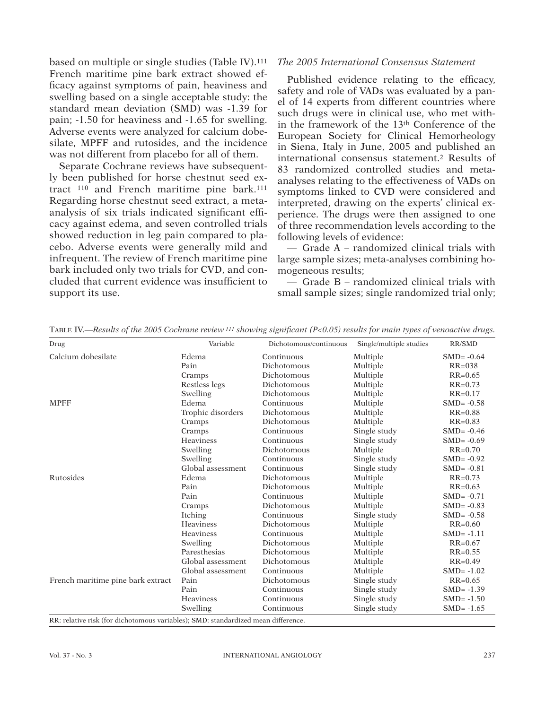based on multiple or single studies (Table IV).111 French maritime pine bark extract showed efficacy against symptoms of pain, heaviness and swelling based on a single acceptable study: the standard mean deviation (SMD) was -1.39 for pain; -1.50 for heaviness and -1.65 for swelling. Adverse events were analyzed for calcium dobesilate, MPFF and rutosides, and the incidence was not different from placebo for all of them.

Separate Cochrane reviews have subsequently been published for horse chestnut seed extract 110 and French maritime pine bark.111 Regarding horse chestnut seed extract, a metaanalysis of six trials indicated significant efficacy against edema, and seven controlled trials showed reduction in leg pain compared to placebo. Adverse events were generally mild and infrequent. The review of French maritime pine bark included only two trials for CVD, and concluded that current evidence was insufficient to support its use.

### *The 2005 International Consensus Statement*

Published evidence relating to the efficacy, safety and role of VADs was evaluated by a panel of 14 experts from different countries where such drugs were in clinical use, who met within the framework of the 13th Conference of the European Society for Clinical Hemorheology in Siena, Italy in June, 2005 and published an international consensus statement.2 Results of 83 randomized controlled studies and metaanalyses relating to the effectiveness of VADs on symptoms linked to CVD were considered and interpreted, drawing on the experts' clinical experience. The drugs were then assigned to one of three recommendation levels according to the following levels of evidence:

— Grade A – randomized clinical trials with large sample sizes; meta-analyses combining homogeneous results;

— Grade B – randomized clinical trials with small sample sizes; single randomized trial only;

| Drug                                                                              | Variable          | Dichotomous/continuous | Single/multiple studies | <b>RR/SMD</b> |  |  |
|-----------------------------------------------------------------------------------|-------------------|------------------------|-------------------------|---------------|--|--|
| Calcium dobesilate                                                                | Edema             | Continuous             | Multiple                | $SMD = -0.64$ |  |  |
|                                                                                   | Pain              | Dichotomous            | Multiple                | $RR=038$      |  |  |
|                                                                                   | Cramps            | Dichotomous            | Multiple                | $RR = 0.65$   |  |  |
|                                                                                   | Restless legs     | Dichotomous            | Multiple                | $RR = 0.73$   |  |  |
|                                                                                   | Swelling          | Dichotomous            | Multiple                | $RR = 0.17$   |  |  |
| <b>MPFF</b>                                                                       | Edema             | Continuous             | Multiple                | $SMD = -0.58$ |  |  |
|                                                                                   | Trophic disorders | Dichotomous            | Multiple                | $RR = 0.88$   |  |  |
|                                                                                   | Cramps            | Dichotomous            | Multiple                | $RR = 0.83$   |  |  |
|                                                                                   | Cramps            | Continuous             | Single study            | $SMD = -0.46$ |  |  |
|                                                                                   | <b>Heaviness</b>  | Continuous             | Single study            | $SMD = -0.69$ |  |  |
|                                                                                   | Swelling          | Dichotomous            | Multiple                | $RR = 0.70$   |  |  |
|                                                                                   | Swelling          | Continuous             | Single study            | $SMD = -0.92$ |  |  |
|                                                                                   | Global assessment | Continuous             | Single study            | $SMD = -0.81$ |  |  |
| Rutosides                                                                         | Edema             | Dichotomous            | Multiple                | $RR = 0.73$   |  |  |
|                                                                                   | Pain              | Dichotomous            | Multiple                | $RR = 0.63$   |  |  |
|                                                                                   | Pain              | Continuous             | Multiple                | $SMD = -0.71$ |  |  |
|                                                                                   | Cramps            | Dichotomous            | Multiple                | $SMD = -0.83$ |  |  |
|                                                                                   | Itching           | Continuous             | Single study            | $SMD = -0.58$ |  |  |
|                                                                                   | <b>Heaviness</b>  | Dichotomous            | Multiple                | $RR = 0.60$   |  |  |
|                                                                                   | <b>Heaviness</b>  | Continuous             | Multiple                | $SMD = -1.11$ |  |  |
|                                                                                   | Swelling          | Dichotomous            | Multiple                | $RR = 0.67$   |  |  |
|                                                                                   | Paresthesias      | Dichotomous            | Multiple                | $RR = 0.55$   |  |  |
|                                                                                   | Global assessment | Dichotomous            | Multiple                | $RR = 0.49$   |  |  |
|                                                                                   | Global assessment | Continuous             | Multiple                | $SMD = -1.02$ |  |  |
| French maritime pine bark extract                                                 | Pain              | Dichotomous            | Single study            | $RR = 0.65$   |  |  |
|                                                                                   | Pain              | Continuous             | Single study            | $SMD = -1.39$ |  |  |
|                                                                                   | <b>Heaviness</b>  | Continuous             | Single study            | $SMD = -1.50$ |  |  |
|                                                                                   | Swelling          | Continuous             | Single study            | $SMD = -1.65$ |  |  |
| RR: relative risk (for dichotomous variables); SMD: standardized mean difference. |                   |                        |                         |               |  |  |

Table IV.—*Results of the 2005 Cochrane review 111 showing significant (P<0.05) results for main types of venoactive drugs.*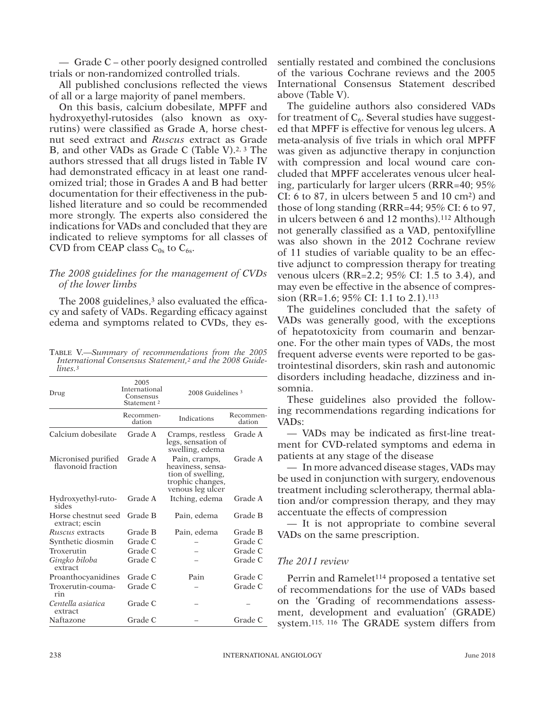— Grade C – other poorly designed controlled trials or non-randomized controlled trials.

All published conclusions reflected the views of all or a large majority of panel members.

On this basis, calcium dobesilate, MPFF and hydroxyethyl-rutosides (also known as oxyrutins) were classified as Grade A, horse chestnut seed extract and *Ruscus* extract as Grade B, and other VADs as Grade C (Table V).<sup>2, 3</sup> The authors stressed that all drugs listed in Table IV had demonstrated efficacy in at least one randomized trial; those in Grades A and B had better documentation for their effectiveness in the published literature and so could be recommended more strongly. The experts also considered the indications for VADs and concluded that they are indicated to relieve symptoms for all classes of CVD from CEAP class  $C_{0s}$  to  $C_{6s}$ .

## *The 2008 guidelines for the management of CVDs of the lower limbs*

The 2008 guidelines,<sup>3</sup> also evaluated the efficacy and safety of VADs. Regarding efficacy against edema and symptoms related to CVDs, they es-

Table V.—*Summary of recommendations from the 2005 International Consensus Statement,2 and the 2008 Guidelines.3*

| Drug                                      | 2005<br>International<br>Consensus<br>Statement <sup>2</sup> | 2008 Guidelines <sup>3</sup>                                                                    |                     |  |  |
|-------------------------------------------|--------------------------------------------------------------|-------------------------------------------------------------------------------------------------|---------------------|--|--|
|                                           | Recommen-<br>dation                                          | <b>Indications</b>                                                                              | Recommen-<br>dation |  |  |
| Calcium dobesilate                        | Grade A                                                      | Cramps, restless<br>legs, sensation of<br>swelling, edema                                       | Grade A             |  |  |
| Micronised purified<br>flavonoid fraction | Grade A                                                      | Pain, cramps,<br>heaviness, sensa-<br>tion of swelling,<br>trophic changes,<br>venous leg ulcer | Grade A             |  |  |
| Hydroxyethyl-ruto-<br>sides               | Grade A                                                      | Itching, edema                                                                                  | Grade A             |  |  |
| Horse chestnut seed<br>extract; escin     | Grade B                                                      | Pain, edema                                                                                     | Grade B             |  |  |
| <i>Ruscus</i> extracts                    | Grade B                                                      | Pain, edema                                                                                     | Grade B             |  |  |
| Synthetic diosmin                         | Grade C                                                      |                                                                                                 | Grade C             |  |  |
| Troxerutin                                | Grade C                                                      |                                                                                                 | Grade C             |  |  |
| Gingko biloba<br>extract                  | Grade C                                                      |                                                                                                 | Grade C             |  |  |
| Proanthocyanidines                        | Grade C                                                      | Pain                                                                                            | Grade C             |  |  |
| Troxerutin-couma-<br>rin                  | Grade C                                                      |                                                                                                 | Grade C             |  |  |
| Centella asiatica<br>extract              | Grade C                                                      |                                                                                                 |                     |  |  |
| Naftazone                                 | Grade C                                                      |                                                                                                 | Grade C             |  |  |

sentially restated and combined the conclusions of the various Cochrane reviews and the 2005 International Consensus Statement described above (Table V).

The guideline authors also considered VADs for treatment of  $C_6$ . Several studies have suggested that MPFF is effective for venous leg ulcers. A meta-analysis of five trials in which oral MPFF was given as adjunctive therapy in conjunction with compression and local wound care concluded that MPFF accelerates venous ulcer healing, particularly for larger ulcers (RRR=40; 95% CI: 6 to 87, in ulcers between 5 and 10 cm2) and those of long standing (RRR=44; 95% CI: 6 to 97, in ulcers between 6 and 12 months).112 Although not generally classified as a VAD, pentoxifylline was also shown in the 2012 Cochrane review of 11 studies of variable quality to be an effective adjunct to compression therapy for treating venous ulcers (RR=2.2; 95% CI: 1.5 to 3.4), and may even be effective in the absence of compression (RR=1.6; 95% CI: 1.1 to 2.1).113

The guidelines concluded that the safety of VADs was generally good, with the exceptions of hepatotoxicity from coumarin and benzarone. For the other main types of VADs, the most frequent adverse events were reported to be gastrointestinal disorders, skin rash and autonomic disorders including headache, dizziness and insomnia.

These guidelines also provided the following recommendations regarding indications for VADs:

— VADs may be indicated as first-line treatment for CVD-related symptoms and edema in patients at any stage of the disease

— In more advanced disease stages, VADs may be used in conjunction with surgery, endovenous treatment including sclerotherapy, thermal ablation and/or compression therapy, and they may accentuate the effects of compression

— It is not appropriate to combine several VADs on the same prescription.

### *The 2011 review*

Perrin and Ramelet<sup>114</sup> proposed a tentative set of recommendations for the use of VADs based on the 'Grading of recommendations assessment, development and evaluation' (GRADE) system.115, 116 The GRADE system differs from

or other proprietary information of the Publisher.

This document is protected by international reproduction is authorized. It is permited for personal use to download and save only one file and print only one copy of this Article. It is not permitted to make additional cop either sporadically, either printed or electronic) of the Article for any purpose. It is not permitted to permitted to distribute the electronic copy of the article through online internet and/or intranet file sharing syst means which may allow access to the Atticle. The use of all or any part of the Atticle for any Commercial Use is not permitted. The creation of derivative works from the Article is not permitted. The production of reprints not permitted it is not permove, coverlay, obscure, block, or change any bagginerary copyright notices or terms post may post on the Article. It is not permitted to frame or use framing techniques to enclose any trademark,

This document is protected by international copyright laws. No additional reproduction is authorized. It is permitted for personal use to download and save only one file and print only one oppy of this Article. It is not p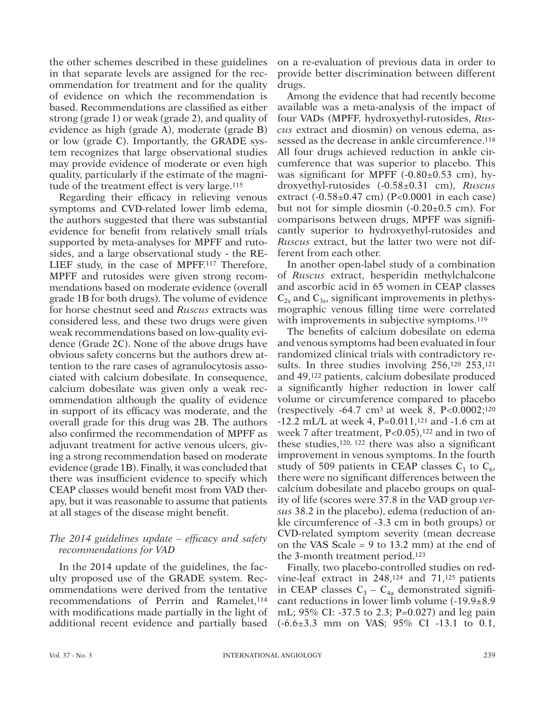the other schemes described in these guidelines in that separate levels are assigned for the recommendation for treatment and for the quality of evidence on which the recommendation is based. Recommendations are classified as either strong (grade 1) or weak (grade 2), and quality of evidence as high (grade A), moderate (grade B) or low (grade C). Importantly, the GRADE system recognizes that large observational studies may provide evidence of moderate or even high quality, particularly if the estimate of the magnitude of the treatment effect is very large.<sup>115</sup>

Regarding their efficacy in relieving venous symptoms and CVD-related lower limb edema, the authors suggested that there was substantial evidence for benefit from relatively small trials supported by meta-analyses for MPFF and rutosides, and a large observational study - the RE-LIEF study, in the case of MPFF.117 Therefore, MPFF and rutosides were given strong recommendations based on moderate evidence (overall grade 1B for both drugs). The volume of evidence for horse chestnut seed and *Ruscus* extracts was considered less, and these two drugs were given weak recommendations based on low-quality evidence (Grade 2C). None of the above drugs have obvious safety concerns but the authors drew attention to the rare cases of agranulocytosis associated with calcium dobesilate. In consequence, calcium dobesilate was given only a weak recommendation although the quality of evidence in support of its efficacy was moderate, and the overall grade for this drug was 2B. The authors also confirmed the recommendation of MPFF as adjuvant treatment for active venous ulcers, giving a strong recommendation based on moderate evidence (grade 1B). Finally, it was concluded that there was insufficient evidence to specify which CEAP classes would benefit most from VAD therapy, but it was reasonable to assume that patients at all stages of the disease might benefit.

### *The 2014 guidelines update – efficacy and safety recommendations for VAD*

In the 2014 update of the guidelines, the faculty proposed use of the GRADE system. Recommendations were derived from the tentative recommendations of Perrin and Ramelet,<sup>114</sup> with modifications made partially in the light of additional recent evidence and partially based

on a re-evaluation of previous data in order to provide better discrimination between different drugs.

Among the evidence that had recently become available was a meta-analysis of the impact of four VADs (MPFF, hydroxyethyl-rutosides, *Ruscus* extract and diosmin) on venous edema, assessed as the decrease in ankle circumference.<sup>118</sup> All four drugs achieved reduction in ankle circumference that was superior to placebo. This was significant for MPFF  $(-0.80 \pm 0.53$  cm), hydroxyethyl-rutosides (-0.58±0.31 cm), *Ruscus* extract (-0.58±0.47 cm) (P<0.0001 in each case) but not for simple diosmin  $(-0.20\pm0.5)$  cm). For comparisons between drugs, MPFF was significantly superior to hydroxyethyl-rutosides and *Ruscus* extract, but the latter two were not different from each other.

In another open-label study of a combination of *Ruscus* extract, hesperidin methylchalcone and ascorbic acid in 65 women in CEAP classes  $C_{2s}$  and  $C_{3s}$ , significant improvements in plethysmographic venous filling time were correlated with improvements in subjective symptoms.<sup>119</sup>

The benefits of calcium dobesilate on edema and venous symptoms had been evaluated in four randomized clinical trials with contradictory results. In three studies involving 256,<sup>120</sup> 253,<sup>121</sup> and 49,122 patients, calcium dobesilate produced a significantly higher reduction in lower calf volume or circumference compared to placebo (respectively  $-64.7 \text{ cm}^3$  at week 8, P<0.0002;<sup>120</sup> -12.2 mL/L at week 4, P=0.011,121 and -1.6 cm at week 7 after treatment,  $P < 0.05$ ),  $122$  and in two of these studies,120, 122 there was also a significant improvement in venous symptoms. In the fourth study of 509 patients in CEAP classes  $C_1$  to  $C_6$ , there were no significant differences between the calcium dobesilate and placebo groups on quality of life (scores were 37.8 in the VAD group *versus* 38.2 in the placebo), edema (reduction of ankle circumference of -3.3 cm in both groups) or CVD-related symptom severity (mean decrease on the VAS Scale = 9 to 13.2 mm) at the end of the 3-month treatment period.123

Finally, two placebo-controlled studies on redvine-leaf extract in 248,124 and 71,125 patients in CEAP classes  $C_3 - C_{4a}$  demonstrated significant reductions in lower limb volume (-19.9±8.9 mL; 95% CI: -37.5 to 2.3; P=0.027) and leg pain (-6.6±3.3 mm on VAS; 95% CI -13.1 to 0.1,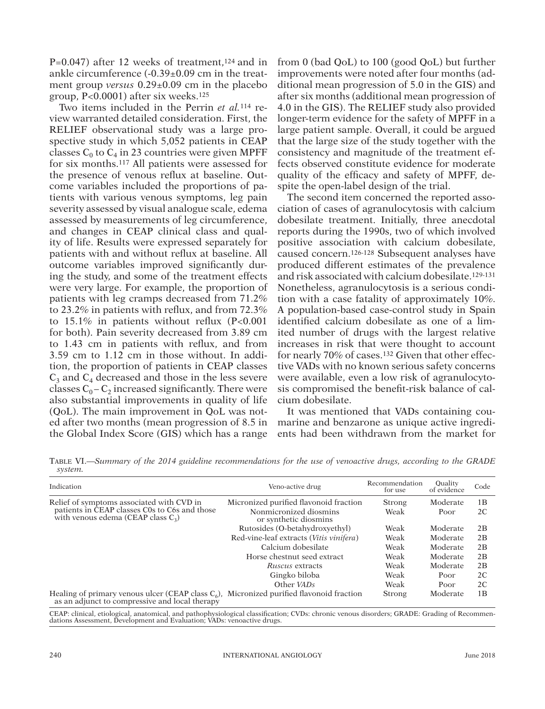P=0.047) after 12 weeks of treatment,<sup>124</sup> and in ankle circumference (-0.39±0.09 cm in the treatment group *versus* 0.29±0.09 cm in the placebo group, P<0.0001) after six weeks.125

Two items included in the Perrin *et al.*114 review warranted detailed consideration. First, the RELIEF observational study was a large prospective study in which 5,052 patients in CEAP classes  $C_0$  to  $C_4$  in 23 countries were given MPFF for six months.117 All patients were assessed for the presence of venous reflux at baseline. Outcome variables included the proportions of patients with various venous symptoms, leg pain severity assessed by visual analogue scale, edema assessed by measurements of leg circumference, and changes in CEAP clinical class and quality of life. Results were expressed separately for patients with and without reflux at baseline. All outcome variables improved significantly during the study, and some of the treatment effects were very large. For example, the proportion of patients with leg cramps decreased from 71.2% to 23.2% in patients with reflux, and from 72.3% to 15.1% in patients without reflux (P<0.001 for both). Pain severity decreased from 3.89 cm to 1.43 cm in patients with reflux, and from 3.59 cm to 1.12 cm in those without. In addition, the proportion of patients in CEAP classes  $C_3$  and  $C_4$  decreased and those in the less severe classes  $C_0 - C_2$  increased significantly. There were also substantial improvements in quality of life (QoL). The main improvement in QoL was noted after two months (mean progression of 8.5 in the Global Index Score (GIS) which has a range from 0 (bad QoL) to 100 (good QoL) but further improvements were noted after four months (additional mean progression of 5.0 in the GIS) and after six months (additional mean progression of 4.0 in the GIS). The RELIEF study also provided longer-term evidence for the safety of MPFF in a large patient sample. Overall, it could be argued that the large size of the study together with the consistency and magnitude of the treatment effects observed constitute evidence for moderate quality of the efficacy and safety of MPFF, despite the open-label design of the trial.

The second item concerned the reported association of cases of agranulocytosis with calcium dobesilate treatment. Initially, three anecdotal reports during the 1990s, two of which involved positive association with calcium dobesilate, caused concern.126-128 Subsequent analyses have produced different estimates of the prevalence and risk associated with calcium dobesilate.129-131 Nonetheless, agranulocytosis is a serious condition with a case fatality of approximately 10%. A population-based case-control study in Spain identified calcium dobesilate as one of a limited number of drugs with the largest relative increases in risk that were thought to account for nearly 70% of cases.132 Given that other effective VADs with no known serious safety concerns were available, even a low risk of agranulocytosis compromised the benefit-risk balance of calcium dobesilate.

It was mentioned that VADs containing coumarine and benzarone as unique active ingredients had been withdrawn from the market for

Table VI.—*Summary of the 2014 guideline recommendations for the use of venoactive drugs, according to the GRADE system.*

| Indication                                                                                                                                    | Veno-active drug                                | Recommendation<br>for use | <b>Quality</b><br>of evidence | Code |
|-----------------------------------------------------------------------------------------------------------------------------------------------|-------------------------------------------------|---------------------------|-------------------------------|------|
| Relief of symptoms associated with CVD in                                                                                                     | Micronized purified flavonoid fraction          | Strong                    | Moderate                      | 1B   |
| patients in CEAP classes C0s to C6s and those<br>with venous edema (CEAP class $C_3$ )                                                        | Nonmicronized diosmins<br>or synthetic diosmins | Weak                      | Poor                          | 2C   |
|                                                                                                                                               | Rutosides (O-betahydroxyethyl)                  | Weak                      | Moderate                      | 2B   |
|                                                                                                                                               | Red-vine-leaf extracts (Vitis vinifera)         | Weak                      | Moderate                      | 2B   |
|                                                                                                                                               | Calcium dobesilate                              | Weak                      | Moderate                      | 2B   |
|                                                                                                                                               | Horse chestnut seed extract                     | Weak                      | Moderate                      | 2B   |
|                                                                                                                                               | Ruscus extracts                                 | Weak                      | Moderate                      | 2B   |
|                                                                                                                                               | Gingko biloba                                   | Weak                      | Poor                          | 2C   |
|                                                                                                                                               | Other VADs                                      | Weak                      | Poor                          | 2C   |
| Healing of primary venous ulcer (CEAP class $C_6$ ), Micronized purified flavonoid fraction<br>as an adjunct to compressive and local therapy |                                                 | Strong                    | Moderate                      | 1B   |

CEAP: clinical, etiological, anatomical, and pathophysiological classification; CVDs: chronic venous disorders; GRADE: Grading of Recommen- dations Assessment, Development and Evaluation; VADs: venoactive drugs.

This document is protected by international reproduction is authorized. It is permited for personal use to download and save only one file and print only one copy of this Article. It is not permitted to make additional cop either sporadically, either printed or electronic) of the Article for any purpose. It is not permitted to permitted to distribute the electronic copy of the article thing internet and/or intranet file sharing systems, elec

laws. No additional reproduction is authorized. It is permitted for personal use to download and sawe only one file and print only one copy of this Article. It is not permitted to make additional copies<br>electronic) of the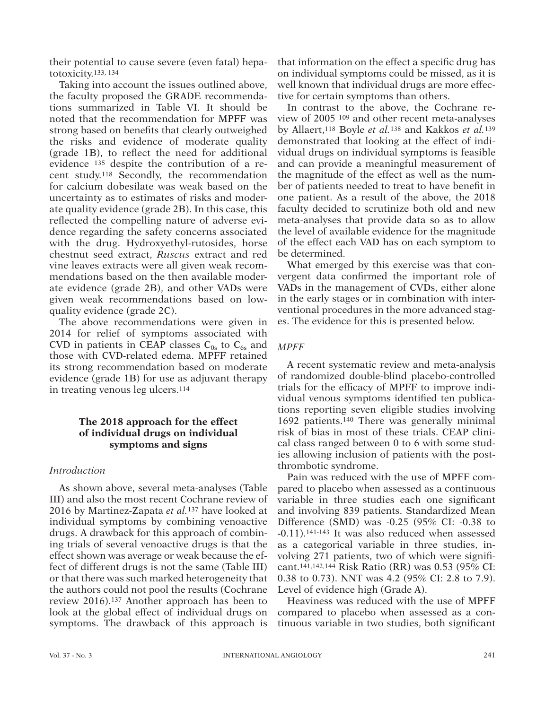their potential to cause severe (even fatal) hepatotoxicity.133, 134

Taking into account the issues outlined above, the faculty proposed the GRADE recommendations summarized in Table VI. It should be noted that the recommendation for MPFF was strong based on benefits that clearly outweighed the risks and evidence of moderate quality (grade 1B), to reflect the need for additional evidence 135 despite the contribution of a recent study.118 Secondly, the recommendation for calcium dobesilate was weak based on the uncertainty as to estimates of risks and moderate quality evidence (grade 2B). In this case, this reflected the compelling nature of adverse evidence regarding the safety concerns associated with the drug. Hydroxyethyl-rutosides, horse chestnut seed extract, *Ruscus* extract and red vine leaves extracts were all given weak recommendations based on the then available moderate evidence (grade 2B), and other VADs were given weak recommendations based on lowquality evidence (grade 2C).

The above recommendations were given in 2014 for relief of symptoms associated with CVD in patients in CEAP classes  $C_{0s}$  to  $C_{6s}$  and those with CVD-related edema. MPFF retained its strong recommendation based on moderate evidence (grade 1B) for use as adjuvant therapy in treating venous leg ulcers.114

## **The 2018 approach for the effect of individual drugs on individual symptoms and signs**

### *Introduction*

This document is protected by international reproduction is authorized. It is permited for personal use to download and save only one file and print only one copy of this Article. It is not permitted to make additional cop either sporadically, either printed or electronic) of the Article for any purpose. It is not permitted to permitted to distribute the electronic copy of the article thing internet and/or intranet file sharing systems, elec means which may allow access to the Atticle. The use of all or any part of the Atticle for any Commercial Use is not permitted. The creation of derivative works from the Article is not permitted. The production of reprints not permitted it is not permove, coverlay, obscure, block, or change any bagginerary corresponsing the Publisher may post on the Article. It is not permitted to frame or use framing techniques to enclose any trademark, log

This document is protected by international copyright laws. No additional reproduction is authorized. It is permitted for personal use to download and save only one file and print only one oppy of this Article. It is not p

As shown above, several meta-analyses (Table III) and also the most recent Cochrane review of 2016 by Martinez-Zapata *et al.*137 have looked at individual symptoms by combining venoactive drugs. A drawback for this approach of combining trials of several venoactive drugs is that the effect shown was average or weak because the effect of different drugs is not the same (Table III) or that there was such marked heterogeneity that the authors could not pool the results (Cochrane review 2016).137 Another approach has been to look at the global effect of individual drugs on symptoms. The drawback of this approach is

that information on the effect a specific drug has on individual symptoms could be missed, as it is well known that individual drugs are more effective for certain symptoms than others.

In contrast to the above, the Cochrane review of 2005 109 and other recent meta-analyses by Allaert,118 Boyle *et al.*138 and Kakkos *et al.*<sup>139</sup> demonstrated that looking at the effect of individual drugs on individual symptoms is feasible and can provide a meaningful measurement of the magnitude of the effect as well as the number of patients needed to treat to have benefit in one patient. As a result of the above, the 2018 faculty decided to scrutinize both old and new meta-analyses that provide data so as to allow the level of available evidence for the magnitude of the effect each VAD has on each symptom to be determined.

What emerged by this exercise was that convergent data confirmed the important role of VADs in the management of CVDs, either alone in the early stages or in combination with interventional procedures in the more advanced stages. The evidence for this is presented below.

## *MPFF*

A recent systematic review and meta-analysis of randomized double-blind placebo-controlled trials for the efficacy of MPFF to improve individual venous symptoms identified ten publications reporting seven eligible studies involving 1692 patients.140 There was generally minimal risk of bias in most of these trials. CEAP clinical class ranged between 0 to 6 with some studies allowing inclusion of patients with the postthrombotic syndrome.

Pain was reduced with the use of MPFF compared to placebo when assessed as a continuous variable in three studies each one significant and involving 839 patients. Standardized Mean Difference (SMD) was -0.25 (95% CI: -0.38 to -0.11).141-143 It was also reduced when assessed as a categorical variable in three studies, involving 271 patients, two of which were significant.141,142,144 Risk Ratio (RR) was 0.53 (95% CI: 0.38 to 0.73). NNT was 4.2 (95% CI: 2.8 to 7.9). Level of evidence high (Grade A).

Heaviness was reduced with the use of MPFF compared to placebo when assessed as a continuous variable in two studies, both significant

or other proprietary information of the Publisher.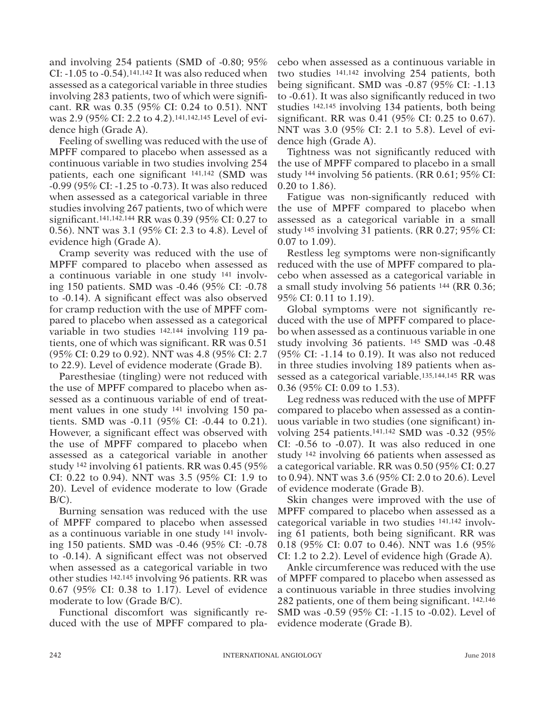and involving 254 patients (SMD of -0.80; 95% CI:  $-1.05$  to  $-0.54$ ).<sup>141,142</sup> It was also reduced when assessed as a categorical variable in three studies involving 283 patients, two of which were significant. RR was 0.35 (95% CI: 0.24 to 0.51). NNT was 2.9 (95% CI: 2.2 to 4.2).141,142,145 Level of evidence high (Grade A).

Feeling of swelling was reduced with the use of MPFF compared to placebo when assessed as a continuous variable in two studies involving 254 patients, each one significant 141,142 (SMD was -0.99 (95% CI: -1.25 to -0.73). It was also reduced when assessed as a categorical variable in three studies involving 267 patients, two of which were significant.141,142,144 RR was 0.39 (95% CI: 0.27 to 0.56). NNT was 3.1 (95% CI: 2.3 to 4.8). Level of evidence high (Grade A).

Cramp severity was reduced with the use of MPFF compared to placebo when assessed as a continuous variable in one study 141 involving 150 patients. SMD was -0.46 (95% CI: -0.78 to -0.14). A significant effect was also observed for cramp reduction with the use of MPFF compared to placebo when assessed as a categorical variable in two studies 142,144 involving 119 patients, one of which was significant. RR was 0.51 (95% CI: 0.29 to 0.92). NNT was 4.8 (95% CI: 2.7 to 22.9). Level of evidence moderate (Grade B).

Paresthesiae (tingling) were not reduced with the use of MPFF compared to placebo when assessed as a continuous variable of end of treatment values in one study 141 involving 150 patients. SMD was -0.11 (95% CI: -0.44 to 0.21). However, a significant effect was observed with the use of MPFF compared to placebo when assessed as a categorical variable in another study 142 involving 61 patients. RR was 0.45 (95% CI: 0.22 to 0.94). NNT was 3.5 (95% CI: 1.9 to 20). Level of evidence moderate to low (Grade  $B/C$ ).

Burning sensation was reduced with the use of MPFF compared to placebo when assessed as a continuous variable in one study 141 involving 150 patients. SMD was -0.46 (95% CI: -0.78 to -0.14). A significant effect was not observed when assessed as a categorical variable in two other studies 142,145 involving 96 patients. RR was 0.67 (95% CI: 0.38 to 1.17). Level of evidence moderate to low (Grade B/C).

Functional discomfort was significantly reduced with the use of MPFF compared to placebo when assessed as a continuous variable in two studies 141,142 involving 254 patients, both being significant. SMD was -0.87 (95% CI: -1.13 to -0.61). It was also significantly reduced in two studies 142,145 involving 134 patients, both being significant. RR was 0.41 (95% CI: 0.25 to 0.67). NNT was 3.0 (95% CI: 2.1 to 5.8). Level of evidence high (Grade A).

Tightness was not significantly reduced with the use of MPFF compared to placebo in a small study 144 involving 56 patients. (RR 0.61; 95% CI: 0.20 to 1.86).

Fatigue was non-significantly reduced with the use of MPFF compared to placebo when assessed as a categorical variable in a small study 145 involving 31 patients. (RR 0.27; 95% CI: 0.07 to 1.09).

Restless leg symptoms were non-significantly reduced with the use of MPFF compared to placebo when assessed as a categorical variable in a small study involving 56 patients 144 (RR 0.36; 95% CI: 0.11 to 1.19).

Global symptoms were not significantly reduced with the use of MPFF compared to placebo when assessed as a continuous variable in one study involving 36 patients. 145 SMD was -0.48 (95% CI: -1.14 to 0.19). It was also not reduced in three studies involving 189 patients when assessed as a categorical variable.135,144,145 RR was 0.36 (95% CI: 0.09 to 1.53).

Leg redness was reduced with the use of MPFF compared to placebo when assessed as a continuous variable in two studies (one significant) involving 254 patients.141,142 SMD was -0.32 (95% CI: -0.56 to -0.07). It was also reduced in one study 142 involving 66 patients when assessed as a categorical variable. RR was 0.50 (95% CI: 0.27 to 0.94). NNT was 3.6 (95% CI: 2.0 to 20.6). Level of evidence moderate (Grade B).

Skin changes were improved with the use of MPFF compared to placebo when assessed as a categorical variable in two studies 141,142 involving 61 patients, both being significant. RR was 0.18 (95% CI: 0.07 to 0.46). NNT was 1.6 (95% CI: 1.2 to 2.2). Level of evidence high (Grade A).

Ankle circumference was reduced with the use of MPFF compared to placebo when assessed as a continuous variable in three studies involving 282 patients, one of them being significant. 142,146 SMD was -0.59 (95% CI: -1.15 to -0.02). Level of evidence moderate (Grade B).

This document is protected by international copyright laws. No additional reproduction is authorized. It is permitted for personal use to download and save only one file and print only one copy of this Article. It is not p or other proprietary information of the Publisher.

This document is protected by international reproduction is authorized. It is permited for personal use to download and save only one file and print only one copy of this Article. It is not permitted to make additional cop either sporadically, either printed or electronic) of the Article for any purpose. It is not permitted to permitted to distribute the electronic copy of the article thing internet and/or intranet file sharing systems, elec means which may allow access to the Atticle. The use of all or any part of the Atticle for any Commercial Use is not permitted. The creation of derivative works from the Article is not permitted. The production of reprints not permitted it is not permove, coverlay, obscure, block, or change any bagginerary corresponsing the Publisher may post on the Article. It is not permitted to frame or use framing techniques to enclose any trademark, log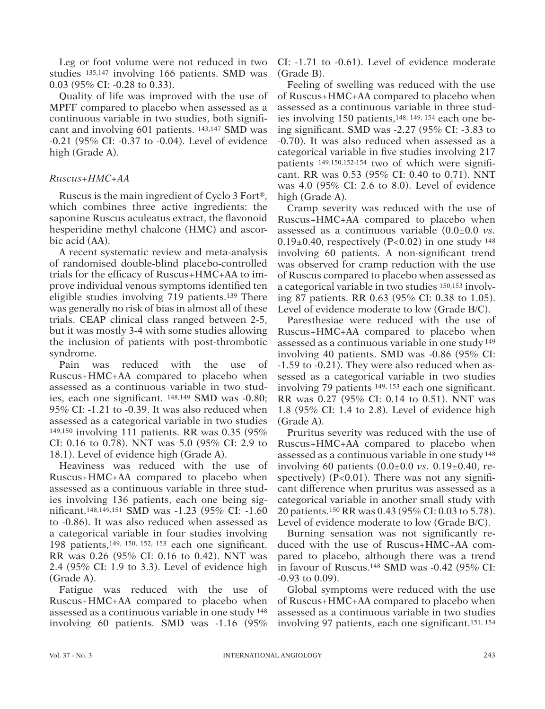Leg or foot volume were not reduced in two studies 135,147 involving 166 patients. SMD was 0.03 (95% CI: -0.28 to 0.33).

Quality of life was improved with the use of MPFF compared to placebo when assessed as a continuous variable in two studies, both significant and involving 601 patients. 143,147 SMD was -0.21 (95% CI: -0.37 to -0.04). Level of evidence high (Grade A).

## *Ruscus+HMC+AA*

Ruscus is the main ingredient of Cyclo 3 Fort®, which combines three active ingredients: the saponine Ruscus aculeatus extract, the flavonoid hesperidine methyl chalcone (HMC) and ascorbic acid (AA).

A recent systematic review and meta-analysis of randomised double-blind placebo-controlled trials for the efficacy of Ruscus+HMC+AA to improve individual venous symptoms identified ten eligible studies involving 719 patients.139 There was generally no risk of bias in almost all of these trials. CEAP clinical class ranged between 2-5, but it was mostly 3-4 with some studies allowing the inclusion of patients with post-thrombotic syndrome.

Pain was reduced with the use of Ruscus+HMC+AA compared to placebo when assessed as a continuous variable in two studies, each one significant. 148,149 SMD was -0.80; 95% CI: -1.21 to -0.39. It was also reduced when assessed as a categorical variable in two studies 149,150 involving 111 patients. RR was 0.35 (95% CI: 0.16 to 0.78). NNT was 5.0 (95% CI: 2.9 to 18.1). Level of evidence high (Grade A).

Heaviness was reduced with the use of Ruscus+HMC+AA compared to placebo when assessed as a continuous variable in three studies involving 136 patients, each one being significant.148,149,151 SMD was -1.23 (95% CI: -1.60 to -0.86). It was also reduced when assessed as a categorical variable in four studies involving 198 patients,149, 150, 152, 153 each one significant. RR was 0.26 (95% CI: 0.16 to 0.42). NNT was 2.4 (95% CI: 1.9 to 3.3). Level of evidence high (Grade A).

Fatigue was reduced with the use of Ruscus+HMC+AA compared to placebo when assessed as a continuous variable in one study 148 involving 60 patients. SMD was -1.16 (95% CI: -1.71 to -0.61). Level of evidence moderate (Grade B).

Feeling of swelling was reduced with the use of Ruscus+HMC+AA compared to placebo when assessed as a continuous variable in three studies involving 150 patients,148, 149, 154 each one being significant. SMD was -2.27 (95% CI: -3.83 to -0.70). It was also reduced when assessed as a categorical variable in five studies involving 217 patients 149,150,152-154 two of which were significant. RR was 0.53 (95% CI: 0.40 to 0.71). NNT was 4.0 (95% CI: 2.6 to 8.0). Level of evidence high (Grade A).

Cramp severity was reduced with the use of Ruscus+HMC+AA compared to placebo when assessed as a continuous variable (0.0±0.0 *vs.*  $0.19\pm0.40$ , respectively (P<0.02) in one study  $148$ involving 60 patients. A non-significant trend was observed for cramp reduction with the use of Ruscus compared to placebo when assessed as a categorical variable in two studies 150,153 involving 87 patients. RR 0.63 (95% CI: 0.38 to 1.05). Level of evidence moderate to low (Grade B/C).

Paresthesiae were reduced with the use of Ruscus+HMC+AA compared to placebo when assessed as a continuous variable in one study 149 involving 40 patients. SMD was -0.86 (95% CI: -1.59 to -0.21). They were also reduced when assessed as a categorical variable in two studies involving 79 patients 149, 153 each one significant. RR was 0.27 (95% CI: 0.14 to 0.51). NNT was 1.8 (95% CI: 1.4 to 2.8). Level of evidence high (Grade A).

Pruritus severity was reduced with the use of Ruscus+HMC+AA compared to placebo when assessed as a continuous variable in one study 148 involving 60 patients (0.0±0.0 *vs.* 0.19±0.40, respectively)  $(P<0.01)$ . There was not any significant difference when pruritus was assessed as a categorical variable in another small study with 20 patients.150 RR was 0.43 (95% CI: 0.03 to 5.78). Level of evidence moderate to low (Grade B/C).

Burning sensation was not significantly reduced with the use of Ruscus+HMC+AA compared to placebo, although there was a trend in favour of Ruscus.148 SMD was -0.42 (95% CI: -0.93 to 0.09).

Global symptoms were reduced with the use of Ruscus+HMC+AA compared to placebo when assessed as a continuous variable in two studies involving 97 patients, each one significant.151, 154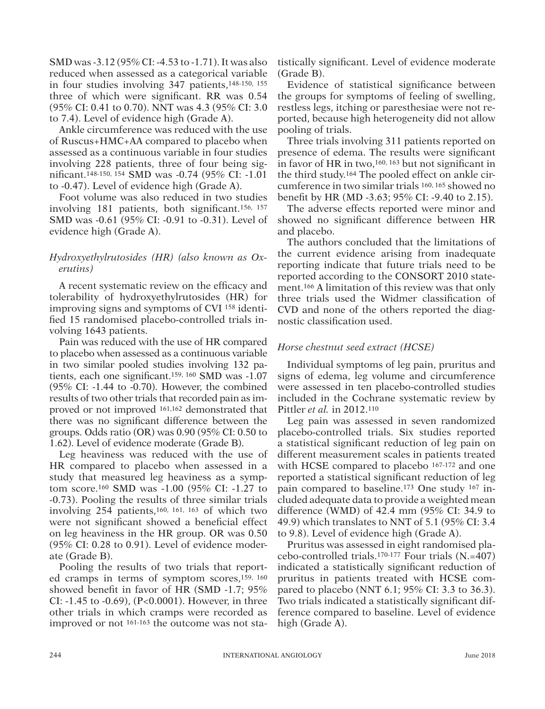SMD was -3.12 (95% CI: -4.53 to -1.71). It was also reduced when assessed as a categorical variable in four studies involving 347 patients,148-150, 155 three of which were significant. RR was 0.54 (95% CI: 0.41 to 0.70). NNT was 4.3 (95% CI: 3.0 to 7.4). Level of evidence high (Grade A).

Ankle circumference was reduced with the use of Ruscus+HMC+AA compared to placebo when assessed as a continuous variable in four studies involving 228 patients, three of four being significant.148-150, 154 SMD was -0.74 (95% CI: -1.01 to -0.47). Level of evidence high (Grade A).

Foot volume was also reduced in two studies involving 181 patients, both significant.156, 157 SMD was -0.61 (95% CI: -0.91 to -0.31). Level of evidence high (Grade A).

## *Hydroxyethylrutosides (HR) (also known as Oxerutins)*

A recent systematic review on the efficacy and tolerability of hydroxyethylrutosides (HR) for improving signs and symptoms of CVI 158 identified 15 randomised placebo-controlled trials involving 1643 patients.

Pain was reduced with the use of HR compared to placebo when assessed as a continuous variable in two similar pooled studies involving 132 patients, each one significant.159, 160 SMD was -1.07 (95% CI: -1.44 to -0.70). However, the combined results of two other trials that recorded pain as improved or not improved 161,162 demonstrated that there was no significant difference between the groups. Odds ratio (OR) was 0.90 (95% CI: 0.50 to 1.62). Level of evidence moderate (Grade B).

Leg heaviness was reduced with the use of HR compared to placebo when assessed in a study that measured leg heaviness as a symptom score.160 SMD was -1.00 (95% CI: -1.27 to -0.73). Pooling the results of three similar trials involving 254 patients,160, 161, 163 of which two were not significant showed a beneficial effect on leg heaviness in the HR group. OR was 0.50 (95% CI: 0.28 to 0.91). Level of evidence moderate (Grade B).

Pooling the results of two trials that reported cramps in terms of symptom scores,159, 160 showed benefit in favor of HR (SMD -1.7; 95% CI: -1.45 to -0.69), (P<0.0001). However, in three other trials in which cramps were recorded as improved or not 161-163 the outcome was not statistically significant. Level of evidence moderate (Grade B).

Evidence of statistical significance between the groups for symptoms of feeling of swelling, restless legs, itching or paresthesiae were not reported, because high heterogeneity did not allow pooling of trials.

Three trials involving 311 patients reported on presence of edema. The results were significant in favor of HR in two,160, 163 but not significant in the third study.164 The pooled effect on ankle circumference in two similar trials 160, 165 showed no benefit by HR (MD -3.63; 95% CI: -9.40 to 2.15).

The adverse effects reported were minor and showed no significant difference between HR and placebo.

The authors concluded that the limitations of the current evidence arising from inadequate reporting indicate that future trials need to be reported according to the CONSORT 2010 statement.166 A limitation of this review was that only three trials used the Widmer classification of CVD and none of the others reported the diagnostic classification used.

## *Horse chestnut seed extract (HCSE)*

Individual symptoms of leg pain, pruritus and signs of edema, leg volume and circumference were assessed in ten placebo-controlled studies included in the Cochrane systematic review by Pittler *et al.* in 2012.110

Leg pain was assessed in seven randomized placebo-controlled trials. Six studies reported a statistical significant reduction of leg pain on different measurement scales in patients treated with HCSE compared to placebo <sup>167-172</sup> and one reported a statistical significant reduction of leg pain compared to baseline.173 One study 167 included adequate data to provide a weighted mean difference (WMD) of 42.4 mm (95% CI: 34.9 to 49.9) which translates to NNT of 5.1 (95% CI: 3.4 to 9.8). Level of evidence high (Grade A).

Pruritus was assessed in eight randomised placebo-controlled trials.170-177 Four trials (N.=407) indicated a statistically significant reduction of pruritus in patients treated with HCSE compared to placebo (NNT 6.1; 95% CI: 3.3 to 36.3). Two trials indicated a statistically significant difference compared to baseline. Level of evidence high (Grade A).

or other proprietary information of the Publisher.

This document is protected by international reproduction is authorized. It is permited for personal use to download and save only one file and print only one copy of this Article. It is not permitted to make additional cop either sporadically, either printed or electronic) of the Article for any purpose. It is not permitted to permitted to distribute the electronic copy of the article thing internet and/or intranet file sharing systems, elec means which may allow access to the Atticle. The use of all or any part of the Atticle for any Commercial Use is not permitted. The creation of derivative works from the Article is not permitted. The production of reprints not permitted it is not permove, coverlay, obscure, block, or change any bagginerary corresponsing the Publisher may post on the Article. It is not permitted to frame or use framing techniques to enclose any trademark, log

This document is protected by international copyright laws. No additional reproduction is authorized. It is permitted for personal use to download and save only one file and print only one oppy of this Article. It is not p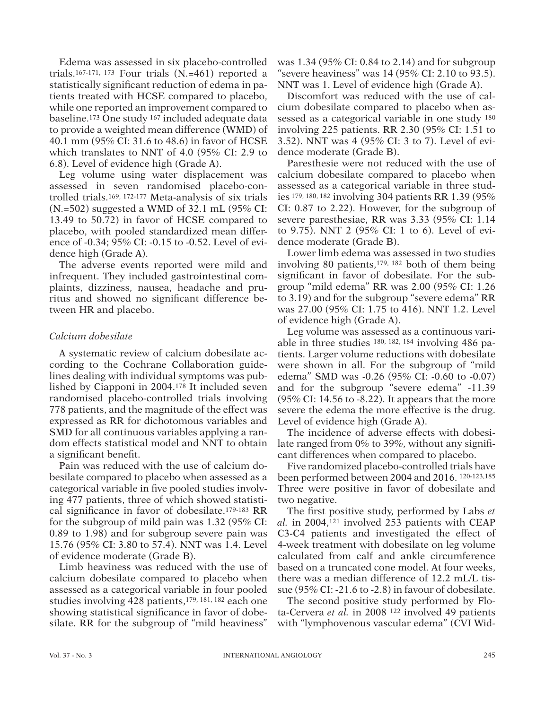Edema was assessed in six placebo-controlled trials.167-171, 173 Four trials (N.=461) reported a statistically significant reduction of edema in patients treated with HCSE compared to placebo, while one reported an improvement compared to baseline.173 One study 167 included adequate data to provide a weighted mean difference (WMD) of 40.1 mm (95% CI: 31.6 to 48.6) in favor of HCSE which translates to NNT of 4.0 (95% CI: 2.9 to 6.8). Level of evidence high (Grade A).

Leg volume using water displacement was assessed in seven randomised placebo-controlled trials.169, 172-177 Meta-analysis of six trials (N.=502) suggested a WMD of 32.1 mL (95% CI: 13.49 to 50.72) in favor of HCSE compared to placebo, with pooled standardized mean difference of -0.34; 95% CI: -0.15 to -0.52. Level of evidence high (Grade A).

The adverse events reported were mild and infrequent. They included gastrointestinal complaints, dizziness, nausea, headache and pruritus and showed no significant difference between HR and placebo.

### *Calcium dobesilate*

A systematic review of calcium dobesilate according to the Cochrane Collaboration guidelines dealing with individual symptoms was published by Ciapponi in 2004.178 It included seven randomised placebo-controlled trials involving 778 patients, and the magnitude of the effect was expressed as RR for dichotomous variables and SMD for all continuous variables applying a random effects statistical model and NNT to obtain a significant benefit.

Pain was reduced with the use of calcium dobesilate compared to placebo when assessed as a categorical variable in five pooled studies involving 477 patients, three of which showed statistical significance in favor of dobesilate.179-183 RR for the subgroup of mild pain was 1.32 (95% CI: 0.89 to 1.98) and for subgroup severe pain was 15.76 (95% CI: 3.80 to 57.4). NNT was 1.4. Level of evidence moderate (Grade B).

Limb heaviness was reduced with the use of calcium dobesilate compared to placebo when assessed as a categorical variable in four pooled studies involving 428 patients,179, 181, 182 each one showing statistical significance in favor of dobesilate. RR for the subgroup of "mild heaviness"

was 1.34 (95% CI: 0.84 to 2.14) and for subgroup "severe heaviness" was 14 (95% CI: 2.10 to 93.5). NNT was 1. Level of evidence high (Grade A).

Discomfort was reduced with the use of calcium dobesilate compared to placebo when assessed as a categorical variable in one study 180 involving 225 patients. RR 2.30 (95% CI: 1.51 to 3.52). NNT was 4 (95% CI: 3 to 7). Level of evidence moderate (Grade B).

Paresthesie were not reduced with the use of calcium dobesilate compared to placebo when assessed as a categorical variable in three studies 179, 180, 182 involving 304 patients RR 1.39 (95% CI: 0.87 to 2.22). However, for the subgroup of severe paresthesiae, RR was 3.33 (95% CI: 1.14 to 9.75). NNT 2 (95% CI: 1 to 6). Level of evidence moderate (Grade B).

Lower limb edema was assessed in two studies involving 80 patients,179, 182 both of them being significant in favor of dobesilate. For the subgroup "mild edema" RR was 2.00 (95% CI: 1.26 to 3.19) and for the subgroup "severe edema" RR was 27.00 (95% CI: 1.75 to 416). NNT 1.2. Level of evidence high (Grade A).

Leg volume was assessed as a continuous variable in three studies 180, 182, 184 involving 486 patients. Larger volume reductions with dobesilate were shown in all. For the subgroup of "mild edema" SMD was -0.26 (95% CI: -0.60 to -0.07) and for the subgroup "severe edema" -11.39 (95% CI: 14.56 to -8.22). It appears that the more severe the edema the more effective is the drug. Level of evidence high (Grade A).

The incidence of adverse effects with dobesilate ranged from 0% to 39%, without any significant differences when compared to placebo.

Five randomized placebo-controlled trials have been performed between 2004 and 2016. 120-123,185 Three were positive in favor of dobesilate and two negative.

The first positive study, performed by Labs *et al.* in 2004,121 involved 253 patients with CEAP C3-C4 patients and investigated the effect of 4-week treatment with dobesilate on leg volume calculated from calf and ankle circumference based on a truncated cone model. At four weeks, there was a median difference of 12.2 mL/L tissue (95% CI: -21.6 to -2.8) in favour of dobesilate.

The second positive study performed by Flota-Cervera *et al.* in 2008 122 involved 49 patients with "lymphovenous vascular edema" (CVI Wid-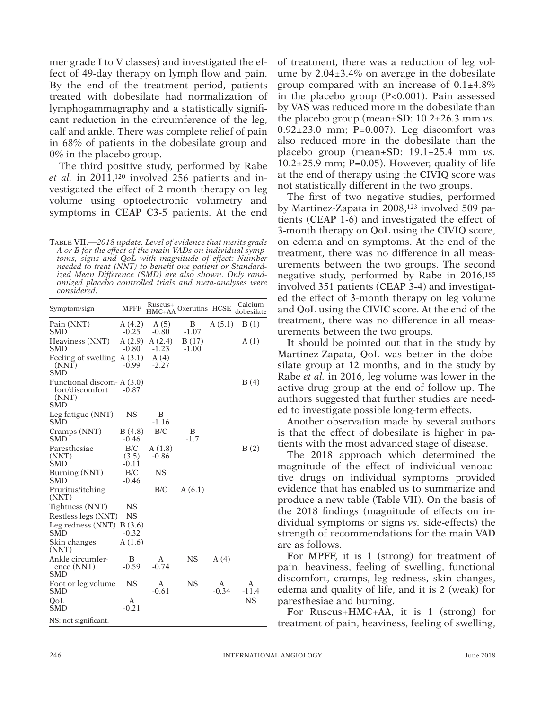mer grade I to V classes) and investigated the effect of 49-day therapy on lymph flow and pain. By the end of the treatment period, patients treated with dobesilate had normalization of lymphogammagraphy and a statistically significant reduction in the circumference of the leg, calf and ankle. There was complete relief of pain in 68% of patients in the dobesilate group and 0% in the placebo group.

The third positive study, performed by Rabe *et al.* in 2011,120 involved 256 patients and investigated the effect of 2-month therapy on leg volume using optoelectronic volumetry and symptoms in CEAP C3-5 patients. At the end

Table VII.—*2018 update. Level of evidence that merits grade A or B for the effect of the main VADs on individual symptoms, signs and QoL with magnitude of effect: Number needed to treat (NNT) to benefit one patient or Standardized Mean Difference (SMD) are also shown. Only randomized placebo controlled trials and meta-analyses were considered.*

| Symptom/sign                                                         | <b>MPFF</b>             | $HMC+AA$          | Ruscus <sup>+</sup> Oxerutins HCSE |              | Calcium<br>dobesilate |
|----------------------------------------------------------------------|-------------------------|-------------------|------------------------------------|--------------|-----------------------|
| Pain (NNT)<br><b>SMD</b>                                             | A(4.2)<br>$-0.25$       | A(5)<br>$-0.80$   | B<br>$-1.07$                       | A(5.1)       | B(1)                  |
| Heaviness (NNT)<br>SMD                                               | A(2.9)<br>$-0.80$       | A(2.4)<br>$-1.23$ | B(17)<br>$-1.00$                   |              | A(1)                  |
| Feeling of swelling<br>(NNT)<br><b>SMD</b>                           | A(3.1)<br>$-0.99$       | A(4)<br>$-2.27$   |                                    |              |                       |
| Functional discom- A (3.0)<br>fort/discomfort<br>(NNT)<br><b>SMD</b> | $-0.87$                 |                   |                                    |              | B(4)                  |
| Leg fatigue (NNT)<br><b>SMD</b>                                      | <b>NS</b>               | B<br>$-1.16$      |                                    |              |                       |
| Cramps (NNT)<br><b>SMD</b>                                           | B(4.8)<br>$-0.46$       | B/C               | B<br>$-1.7$                        |              |                       |
| Paresthesiae<br>(NNT)<br><b>SMD</b>                                  | B/C<br>(3.5)<br>$-0.11$ | A(1.8)<br>$-0.86$ |                                    |              | B(2)                  |
| Burning (NNT)<br><b>SMD</b>                                          | B/C<br>$-0.46$          | <b>NS</b>         |                                    |              |                       |
| Pruritus/itching<br>(NNT)                                            |                         | B/C               | A(6.1)                             |              |                       |
| Tightness (NNT)                                                      | <b>NS</b>               |                   |                                    |              |                       |
| Restless legs (NNT)                                                  | <b>NS</b>               |                   |                                    |              |                       |
| Leg redness $(NNT)$ B $(3.6)$<br><b>SMD</b>                          | $-0.32$                 |                   |                                    |              |                       |
| Skin changes<br>(NNT)                                                | A(1.6)                  |                   |                                    |              |                       |
| Ankle circumfer-<br>ence (NNT)<br>SMD                                | B<br>$-0.59$            | A<br>$-0.74$      | <b>NS</b>                          | A(4)         |                       |
| Foot or leg volume<br><b>SMD</b>                                     | <b>NS</b>               | А<br>$-0.61$      | <b>NS</b>                          | Α<br>$-0.34$ | A<br>$-11.4$          |
| OoL<br><b>SMD</b>                                                    | А<br>$-0.21$            |                   |                                    |              | NS                    |
| NS: not significant.                                                 |                         |                   |                                    |              |                       |

of treatment, there was a reduction of leg volume by 2.04±3.4% on average in the dobesilate group compared with an increase of  $0.1\pm4.8\%$ in the placebo group (P<0.001). Pain assessed by VAS was reduced more in the dobesilate than the placebo group (mean±SD: 10.2±26.3 mm *vs.*  $0.92\pm23.0$  mm; P=0.007). Leg discomfort was also reduced more in the dobesilate than the placebo group (mean±SD: 19.1±25.4 mm *vs.*  $10.2\pm25.9$  mm; P=0.05). However, quality of life at the end of therapy using the CIVIQ score was not statistically different in the two groups.

The first of two negative studies, performed by Martinez-Zapata in 2008,123 involved 509 patients (CEAP 1-6) and investigated the effect of 3-month therapy on QoL using the CIVIQ score, on edema and on symptoms. At the end of the treatment, there was no difference in all measurements between the two groups. The second negative study, performed by Rabe in 2016,185 involved 351 patients (CEAP 3-4) and investigated the effect of 3-month therapy on leg volume and QoL using the CIVIC score. At the end of the treatment, there was no difference in all measurements between the two groups.

It should be pointed out that in the study by Martinez-Zapata, QoL was better in the dobesilate group at 12 months, and in the study by Rabe *et al.* in 2016, leg volume was lower in the active drug group at the end of follow up. The authors suggested that further studies are needed to investigate possible long-term effects.

Another observation made by several authors is that the effect of dobesilate is higher in patients with the most advanced stage of disease.

The 2018 approach which determined the magnitude of the effect of individual venoactive drugs on individual symptoms provided evidence that has enabled us to summarize and produce a new table (Table VII). On the basis of the 2018 findings (magnitude of effects on individual symptoms or signs *vs.* side-effects) the strength of recommendations for the main VAD are as follows.

For MPFF, it is 1 (strong) for treatment of pain, heaviness, feeling of swelling, functional discomfort, cramps, leg redness, skin changes, edema and quality of life, and it is 2 (weak) for paresthesiae and burning.

For Ruscus+HMC+AA, it is 1 (strong) for treatment of pain, heaviness, feeling of swelling,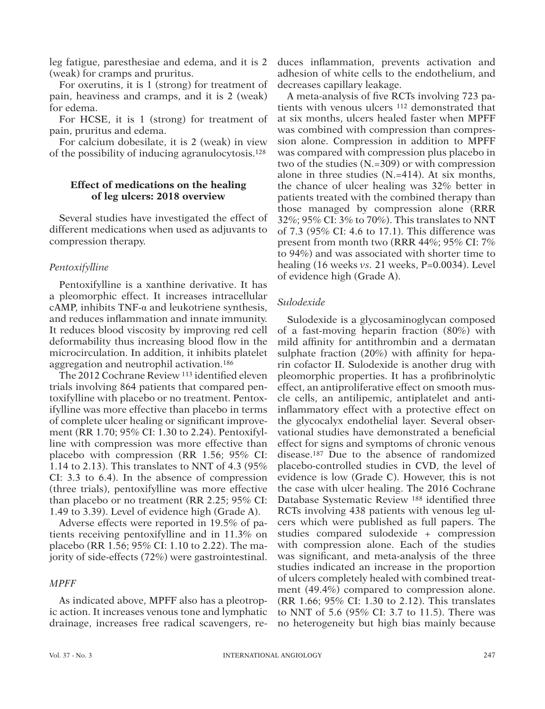leg fatigue, paresthesiae and edema, and it is 2 (weak) for cramps and pruritus.

For oxerutins, it is 1 (strong) for treatment of pain, heaviness and cramps, and it is 2 (weak) for edema.

For HCSE, it is 1 (strong) for treatment of pain, pruritus and edema.

For calcium dobesilate, it is 2 (weak) in view of the possibility of inducing agranulocytosis.128

## **Effect of medications on the healing of leg ulcers: 2018 overview**

Several studies have investigated the effect of different medications when used as adjuvants to compression therapy.

### *Pentoxifylline*

Pentoxifylline is a xanthine derivative. It has a pleomorphic effect. It increases intracellular cAMP, inhibits TNF-α and leukotriene synthesis, and reduces inflammation and innate immunity. It reduces blood viscosity by improving red cell deformability thus increasing blood flow in the microcirculation. In addition, it inhibits platelet aggregation and neutrophil activation.186

The 2012 Cochrane Review 113 identified eleven trials involving 864 patients that compared pentoxifylline with placebo or no treatment. Pentoxifylline was more effective than placebo in terms of complete ulcer healing or significant improvement (RR 1.70; 95% CI: 1.30 to 2.24). Pentoxifylline with compression was more effective than placebo with compression (RR 1.56; 95% CI: 1.14 to 2.13). This translates to NNT of 4.3 (95% CI: 3.3 to 6.4). In the absence of compression (three trials), pentoxifylline was more effective than placebo or no treatment (RR 2.25; 95% CI: 1.49 to 3.39). Level of evidence high (Grade A).

Adverse effects were reported in 19.5% of patients receiving pentoxifylline and in 11.3% on placebo (RR 1.56; 95% CI: 1.10 to 2.22). The majority of side-effects (72%) were gastrointestinal.

### *MPFF*

or other proprietary information of the Publisher.

As indicated above, MPFF also has a pleotropic action. It increases venous tone and lymphatic drainage, increases free radical scavengers, re-

duces inflammation, prevents activation and adhesion of white cells to the endothelium, and decreases capillary leakage.

A meta-analysis of five RCTs involving 723 patients with venous ulcers 112 demonstrated that at six months, ulcers healed faster when MPFF was combined with compression than compression alone. Compression in addition to MPFF was compared with compression plus placebo in two of the studies (N.=309) or with compression alone in three studies (N.=414). At six months, the chance of ulcer healing was 32% better in patients treated with the combined therapy than those managed by compression alone (RRR 32%; 95% CI: 3% to 70%). This translates to NNT of 7.3 (95% CI: 4.6 to 17.1). This difference was present from month two (RRR 44%; 95% CI: 7% to 94%) and was associated with shorter time to healing (16 weeks *vs.* 21 weeks, P=0.0034). Level of evidence high (Grade A).

### *Sulodexide*

Sulodexide is a glycosaminoglycan composed of a fast-moving heparin fraction (80%) with mild affinity for antithrombin and a dermatan sulphate fraction (20%) with affinity for heparin cofactor II. Sulodexide is another drug with pleomorphic properties. It has a profibrinolytic effect, an antiproliferative effect on smooth muscle cells, an antilipemic, antiplatelet and antiinflammatory effect with a protective effect on the glycocalyx endothelial layer. Several observational studies have demonstrated a beneficial effect for signs and symptoms of chronic venous disease.187 Due to the absence of randomized placebo-controlled studies in CVD, the level of evidence is low (Grade C). However, this is not the case with ulcer healing. The 2016 Cochrane Database Systematic Review 188 identified three RCTs involving 438 patients with venous leg ulcers which were published as full papers. The studies compared sulodexide + compression with compression alone. Each of the studies was significant, and meta-analysis of the three studies indicated an increase in the proportion of ulcers completely healed with combined treatment (49.4%) compared to compression alone. (RR 1.66; 95% CI: 1.30 to 2.12). This translates to NNT of 5.6 (95% CI: 3.7 to 11.5). There was no heterogeneity but high bias mainly because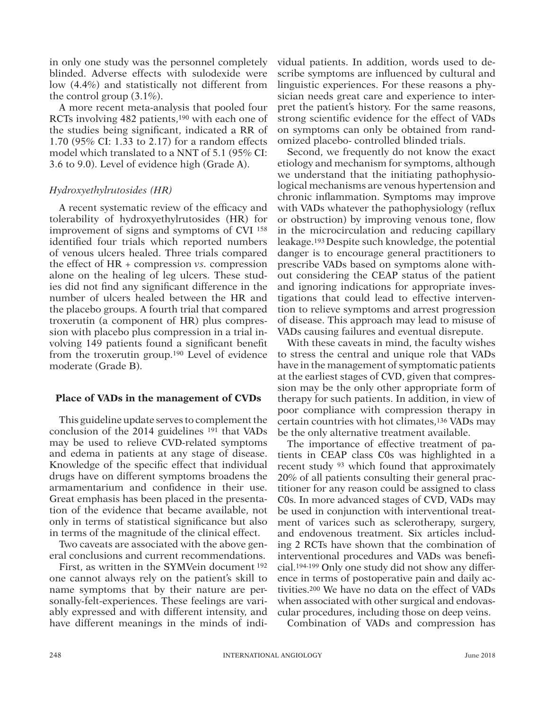in only one study was the personnel completely blinded. Adverse effects with sulodexide were low (4.4%) and statistically not different from the control group  $(3.1\%)$ .

A more recent meta-analysis that pooled four RCTs involving 482 patients,190 with each one of the studies being significant, indicated a RR of 1.70 (95% CI: 1.33 to 2.17) for a random effects model which translated to a NNT of 5.1 (95% CI: 3.6 to 9.0). Level of evidence high (Grade A).

## *Hydroxyethylrutosides (HR)*

A recent systematic review of the efficacy and tolerability of hydroxyethylrutosides (HR) for improvement of signs and symptoms of CVI 158 identified four trials which reported numbers of venous ulcers healed. Three trials compared the effect of HR + compression *vs.* compression alone on the healing of leg ulcers. These studies did not find any significant difference in the number of ulcers healed between the HR and the placebo groups. A fourth trial that compared troxerutin (a component of HR) plus compression with placebo plus compression in a trial involving 149 patients found a significant benefit from the troxerutin group.190 Level of evidence moderate (Grade B).

## **Place of VADs in the management of CVDs**

This guideline update serves to complement the conclusion of the 2014 guidelines 191 that VADs may be used to relieve CVD-related symptoms and edema in patients at any stage of disease. Knowledge of the specific effect that individual drugs have on different symptoms broadens the armamentarium and confidence in their use. Great emphasis has been placed in the presentation of the evidence that became available, not only in terms of statistical significance but also in terms of the magnitude of the clinical effect.

Two caveats are associated with the above general conclusions and current recommendations.

First, as written in the SYMVein document 192 one cannot always rely on the patient's skill to name symptoms that by their nature are personally-felt-experiences. These feelings are variably expressed and with different intensity, and have different meanings in the minds of indi-

vidual patients. In addition, words used to describe symptoms are influenced by cultural and linguistic experiences. For these reasons a physician needs great care and experience to interpret the patient's history. For the same reasons, strong scientific evidence for the effect of VADs on symptoms can only be obtained from randomized placebo- controlled blinded trials.

Second, we frequently do not know the exact etiology and mechanism for symptoms, although we understand that the initiating pathophysiological mechanisms are venous hypertension and chronic inflammation. Symptoms may improve with VADs whatever the pathophysiology (reflux or obstruction) by improving venous tone, flow in the microcirculation and reducing capillary leakage.193 Despite such knowledge, the potential danger is to encourage general practitioners to prescribe VADs based on symptoms alone without considering the CEAP status of the patient and ignoring indications for appropriate investigations that could lead to effective intervention to relieve symptoms and arrest progression of disease. This approach may lead to misuse of VADs causing failures and eventual disrepute.

With these caveats in mind, the faculty wishes to stress the central and unique role that VADs have in the management of symptomatic patients at the earliest stages of CVD, given that compression may be the only other appropriate form of therapy for such patients. In addition, in view of poor compliance with compression therapy in certain countries with hot climates,136 VADs may be the only alternative treatment available.

The importance of effective treatment of patients in CEAP class C0s was highlighted in a recent study 93 which found that approximately 20% of all patients consulting their general practitioner for any reason could be assigned to class C0s. In more advanced stages of CVD, VADs may be used in conjunction with interventional treatment of varices such as sclerotherapy, surgery, and endovenous treatment. Six articles including 2 RCTs have shown that the combination of interventional procedures and VADs was beneficial.194-199 Only one study did not show any difference in terms of postoperative pain and daily activities.200 We have no data on the effect of VADs when associated with other surgical and endovascular procedures, including those on deep veins.

Combination of VADs and compression has

or other proprietary information of the Publisher.

This document is protected by international reproduction is authorized. It is permited for personal use to download and save only one file and print only one copy of this Article. It is not permitted to make additional cop either sporadically, either printed or electronic) of the Article for any purpose. It is not permitted to permitted to distribute the electronic copy of the article through online internet and/or intranet file sharing syst means which may allow access to the Atticle. The use of all or any part of the Atticle for any Commercial Use is not permitted. The creation of derivative works from the Article is not permitted. The production of reprints not permitted it is not permove, coverlay, obscure, block, or change any bagging, bog any copyright notices or the Publisher may post on the Article. It is not permitted to frame or use framing techniques to enclose any tr

This document is protected by international copyright laws. No additional reproduction is authorized. It is permitted for personal use to download and save only one file and print only one copy of this Article. It is not p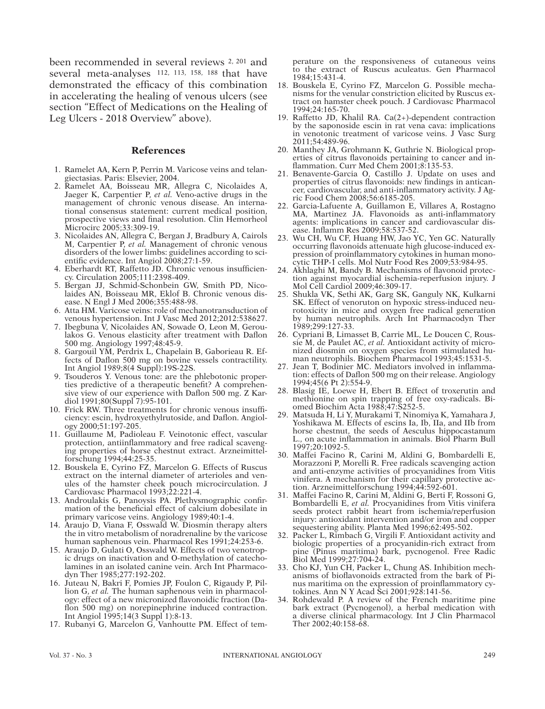been recommended in several reviews 2, 201 and several meta-analyses 112, 113, 158, 188 that have demonstrated the efficacy of this combination in accelerating the healing of venous ulcers (see section "Effect of Medications on the Healing of Leg Ulcers - 2018 Overview" above).

## **References**

- 1. Ramelet AA, Kern P, Perrin M. Varicose veins and telangiectasias. Paris: Elsevier, 2004.
- 2. Ramelet AA, Boisseau MR, Allegra C, Nicolaides A, Jaeger K, Carpentier P, *et al.* Veno-active drugs in the management of chronic venous disease. An international consensus statement: current medical position, prospective views and final resolution. Clin Hemorheol Microcirc 2005;33:309-19.
- 3. Nicolaides AN, Allegra C, Bergan J, Bradbury A, Cairols M, Carpentier P, *et al.* Management of chronic venous disorders of the lower limbs: guidelines according to scientific evidence. Int Angiol 2008;27:1-59.
- 4. Eberhardt RT, Raffetto JD. Chronic venous insufficiency. Circulation 2005;111:2398-409.
- 5. Bergan JJ, Schmid-Schonbein GW, Smith PD, Nicolaides AN, Boisseau MR, Eklof B. Chronic venous disease. N Engl J Med 2006;355:488-98.
- 6. Atta HM. Varicose veins: role of mechanotransduction of venous hypertension. Int J Vasc Med 2012;2012:538627.
- 7. Ibegbuna V, Nicolaides AN, Sowade O, Leon M, Geroulakos G. Venous elasticity after treatment with Daflon 500 mg. Angiology 1997;48:45-9.
- 8. Gargouil YM, Perdrix L, Chapelain B, Gaborieau R. Effects of Daflon 500 mg on bovine vessels contractility. Int Angiol 1989;8(4 Suppl):19S-22S.
- 9. Tsouderos Y. Venous tone: are the phlebotonic properties predictive of a therapeutic benefit? A comprehensive view of our experience with Daflon 500 mg. Z Kardiol 1991;80(Suppl 7):95-101.
- 10. Frick RW. Three treatments for chronic venous insufficiency: escin, hydroxyethylrutoside, and Daflon. Angiology 2000;51:197-205.
- 11. Guillaume M, Padioleau F. Veinotonic effect, vascular protection, antiinflammatory and free radical scavenging properties of horse chestnut extract. Arzneimittelforschung 1994;44:25-35.
- 12. Bouskela E, Cyrino FZ, Marcelon G. Effects of Ruscus extract on the internal diameter of arterioles and venules of the hamster cheek pouch microcirculation. J Cardiovasc Pharmacol 1993;22:221-4.
- 13. Androulakis G, Panoysis PA. Plethysmographic confirmation of the beneficial effect of calcium dobesilate in primary varicose veins. Angiology 1989;40:1-4.
- 14. Araujo D, Viana F, Osswald W. Diosmin therapy alters the in vitro metabolism of noradrenaline by the varicose human saphenous vein. Pharmacol Res 1991;24:253-6.
- 15. Araujo D, Gulati O, Osswald W. Effects of two venotropic drugs on inactivation and O-methylation of catecholamines in an isolated canine vein. Arch Int Pharmacodyn Ther 1985;277:192-202.
- 16. Juteau N, Bakri F, Pomies JP, Foulon C, Rigaudy P, Pillion G, *et al.* The human saphenous vein in pharmacology: effect of a new micronized flavonoidic fraction (Daflon 500 mg) on norepinephrine induced contraction. Int Angiol 1995;14(3 Suppl 1):8-13.
- 17. Rubanyi G, Marcelon G, Vanhoutte PM. Effect of tem-

perature on the responsiveness of cutaneous veins to the extract of Ruscus aculeatus. Gen Pharmacol 1984;15:431-4.

- 18. Bouskela E, Cyrino FZ, Marcelon G. Possible mechanisms for the venular constriction elicited by Ruscus extract on hamster cheek pouch. J Cardiovasc Pharmacol 1994;24:165-70.
- 19. Raffetto JD, Khalil RA. Ca(2+)-dependent contraction by the saponoside escin in rat vena cava: implications in venotonic treatment of varicose veins. J Vasc Surg 2011;54:489-96.
- 20. Manthey JA, Grohmann K, Guthrie N. Biological properties of citrus flavonoids pertaining to cancer and inflammation. Curr Med Chem 2001;8:135-53.
- 21. Benavente-Garcia O, Castillo J. Update on uses and properties of citrus flavonoids: new findings in anticancer, cardiovascular, and anti-inflammatory activity. J Agric Food Chem 2008;56:6185-205.
- 22. Garcia-Lafuente A, Guillamon E, Villares A, Rostagno MA, Martinez JA. Flavonoids as anti-inflammatory agents: implications in cancer and cardiovascular disease. Inflamm Res 2009;58:537-52.
- 23. Wu CH, Wu CF, Huang HW, Jao YC, Yen GC. Naturally occurring flavonoids attenuate high glucose-induced expression of proinflammatory cytokines in human monocytic THP-1 cells. Mol Nutr Food Res 2009;53:984-95.
- 24. Akhlaghi M, Bandy B. Mechanisms of flavonoid protection against myocardial ischemia-reperfusion injury. J Mol Cell Cardiol 2009;46:309-17.
- 25. Shukla VK, Sethi AK, Garg SK, Ganguly NK, Kulkarni SK. Effect of venoruton on hypoxic stress-induced neurotoxicity in mice and oxygen free radical generation by human neutrophils. Arch Int Pharmacodyn Ther 1989;299:127-33.
- 26. Cypriani B, Limasset B, Carrie ML, Le Doucen C, Roussie M, de Paulet AC, *et al.* Antioxidant activity of micronized diosmin on oxygen species from stimulated human neutrophils. Biochem Pharmacol 1993;45:1531-5.
- 27. Jean T, Bodinier MC. Mediators involved in inflammation: effects of Daflon 500 mg on their release. Angiology 1994;45(6 Pt 2):554-9.
- 28. Blasig IE, Loewe H, Ebert B. Effect of troxerutin and methionine on spin trapping of free oxy-radicals. Biomed Biochim Acta 1988;47:S252-5.
- 29. Matsuda H, Li Y, Murakami T, Ninomiya K, Yamahara J, Yoshikawa M. Effects of escins Ia, Ib, IIa, and IIb from horse chestnut, the seeds of Aesculus hippocastanum L., on acute inflammation in animals. Biol Pharm Bull 1997;20:1092-5.
- 30. Maffei Facino R, Carini M, Aldini G, Bombardelli E, Morazzoni P, Morelli R. Free radicals scavenging action and anti-enzyme activities of procyanidines from Vitis vinifera. A mechanism for their capillary protective action. Arzneimittelforschung 1994;44:592-601.
- 31. Maffei Facino R, Carini M, Aldini G, Berti F, Rossoni G, Bombardelli E, *et al.* Procyanidines from Vitis vinifera seeds protect rabbit heart from ischemia/reperfusion injury: antioxidant intervention and/or iron and copper sequestering ability. Planta Med 1996;62:495-502.
- 32. Packer L, Rimbach G, Virgili F. Antioxidant activity and biologic properties of a procyanidin-rich extract from pine (Pinus maritima) bark, pycnogenol. Free Radic Biol Med 1999;27:704-24.
- 33. Cho KJ, Yun CH, Packer L, Chung AS. Inhibition mechanisms of bioflavonoids extracted from the bark of Pinus maritima on the expression of proinflammatory cytokines. Ann N Y Acad Sci 2001;928:141-56.
- 34. Rohdewald P. A review of the French maritime pine bark extract (Pycnogenol), a herbal medication with a diverse clinical pharmacology. Int J Clin Pharmacol Ther 2002;40:158-68.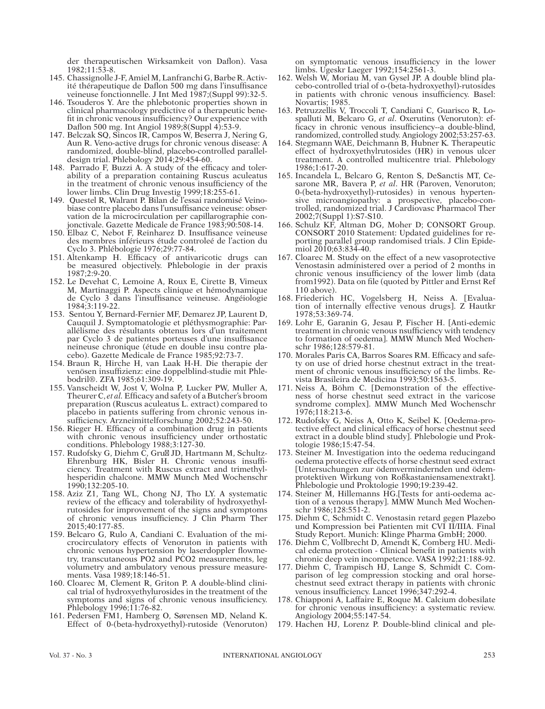der therapeutischen Wirksamkeit von Daflon). Vasa 1982;11:53-8.

- 145. Chassignolle J-F, Amiel M, Lanfranchi G, Barbe R. Activité thérapeutique de Daflon 500 mg dans l'insuffisance veineuse fonctionnelle. J Int Med 1987;(Suppl 99):32-5.
- 146. Tsouderos Y. Are the phlebotonic properties shown in clinical pharmacology predictive of a therapeutic benefit in chronic venous insufficiency? Our experience with Daflon 500 mg. Int Angiol 1989; $\dot{8}$ (Suppl 4):53-9.
- 147. Belczak SQ, Sincos IR, Campos W, Beserra J, Nering G, Aun R. Veno-active drugs for chronic venous disease: A randomized, double-blind, placebo-controlled paralleldesign trial. Phlebology 2014;29:454-60.
- 148. Parrado F, Buzzi A. A study of the efficacy and tolerability of a preparation containing Ruscus aculeatus in the treatment of chronic venous insufficiency of the lower limbs. Clin Drug Investig 1999;18:255-61.
- 149. Questel R, Walrant P. Bilan de l'essai randomisé Veinobiase contre placebo dans l'unsuffisance veineuse: observation de la microcirculation per capillarographie conjonctivale. Gazette Medicale de France 1983;90:508-14.
- 150. Elbaz C, Nebot F, Reinharez D. Insuffisance veineuse des membres inférieurs étude controleé de l'action du Cyclo 3. Phlébologie 1976;29:77-84.
- 151. Altenkamp H. Efficacy of antivaricotic drugs can be measured objectively. Phlebologie in der praxis 1987;2:9-20.
- 152. Le Devehat C, Lemoine A, Roux E, Cirette B, Vimeux M, Martinaggi P. Aspects clinique et hémodynamique de Cyclo 3 dans l'insuffisance veineuse. Angéiologie 1984;3:119-22.
- 153. Sentou Y, Bernard-Fernier MF, Demarez JP, Laurent D, Cauquil J. Symptomatologie et pléthysmographie: Parallélisme des résultants obtenus lors d'un traitement par Cyclo 3 de patientes porteuses d'une insuffisance neineuse chronique (étude en double insu contre placebo). Gazette Medicale de France 1985;92:73-7.
- 154. Braun R, Hirche H, van Laak H-H. Die therapie der venösen insuffizienz: eine doppelblind-studie mit Phlebodril®. ZFA 1985;61:309-19.
- 155. Vanscheidt W, Jost V, Wolna P, Lucker PW, Muller A, Theurer C, *et al.* Efficacy and safety of a Butcher's broom preparation (Ruscus aculeatus L. extract) compared to placebo in patients suffering from chronic venous insufficiency. Arzneimittelforschung 2002;52:243-50.
- 156. Rieger H. Efficacy of a combination drug in patients with chronic venous insufficiency under orthostatic conditions. Phlebology 1988;3:127-30.
- 157. Rudofsky G, Diehm C, Gru JD, Hartmann M, Schultz-Ehrenburg HK, Bisler H. Chronic venous insufficiency. Treatment with Ruscus extract and trimethylhesperidin chalcone. MMW Munch Med Wochenschr 1990;132:205-10.
- 158. Aziz Z1, Tang WL, Chong NJ, Tho LY. A systematic review of the efficacy and tolerability of hydroxyethylrutosides for improvement of the signs and symptoms of chronic venous insufficiency. J Clin Pharm Ther 2015;40:177-85.
- 159. Belcaro G, Rulo A, Candiani C. Evaluation of the microcirculatory effects of Venoruton in patients with chronic venous hypertension by laserdoppler flowmetry, transcutaneous PO2 and PCO2 measurements, leg volumetry and ambulatory venous pressure measurements. Vasa 1989;18:146-51.
- 160. Cloarec M, Clement R, Griton P. A double-blind clinical trial of hydroxyethylurosides in the treatment of the symptoms and signs of chronic venous insufficiency. Phlebology 1996;11:76-82.
- 161. Pedersen FM1, Hamberg O, Sørensen MD, Neland K. Effect of 0-(beta-hydroxyethyl)-rutoside (Venoruton)

on symptomatic venous insufficiency in the lower limbs. Ugeskr Laeger 1992;154:2561-3.

- 162. Welsh W, Moriau M, van Gysel JP. A double blind placebo-controlled trial of o-(beta-hydroxyethyl)-rutosides in patients with chronic venous insufficiency. Basel: Novartis; 1985.
- 163. Petruzzellis V, Troccoli T, Candiani C, Guarisco R, Lospalluti M, Belcaro G, *et al*. Oxerutins (Venoruton): efficacy in chronic venous insufficiency--a double-blind, randomized, controlled study. Angiology 2002;53:257-63.
- 164. Stegmann WAE, Deichmann B, Hubner K*.* Therapeutic effect of hydroxyethylrutosides (HR) in venous ulcer treatment. A controlled multicentre trial. Phlebology 1986;1:617-20.
- 165. Incandela L, Belcaro G, Renton S, DeSanctis MT, Cesarone MR, Bavera P, *et al*. HR (Paroven, Venoruton; 0-(beta-hydroxyethyl)-rutosides) in venous hypertensive microangiopathy: a prospective, placebo-controlled, randomized trial. J Cardiovasc Pharmacol Ther 2002;7(Suppl 1):S7-S10.
- 166. Schulz KF, Altman DG, Moher D; CONSORT Group. CONSORT 2010 Statement: Updated guidelines for reporting parallel group randomised trials. J Clin Epidemiol 2010;63:834-40.
- 167. Cloarec M. Study on the effect of a new vasoprotective Venostasin administered over a period of 2 months in chronic venous insufficiency of the lower limb (data from1992). Data on file (quoted by Pittler and Ernst Ref 110 above).
- 168. Friederich HC, Vogelsberg H, Neiss A. [Evaluation of internally effective venous drugs]. Z Hautkr 1978;53:369-74.
- 169. Lohr E, Garanin G, Jesau P, Fischer H. [Anti-edemic treatment in chronic venous nsufficiency with tendency to formation of oedema]. MMW Munch Med Wochenschr 1986;128:579-81.
- 170. Morales Paris CA, Barros Soares RM. Efficacy and safety on use of dried horse chestnut extract in the treatment of chronic venous insufficiency of the limbs. Revista Brasileira de Medicina 1993;50:1563-5.
- 171. Neiss A, Böhm C. [Demonstration of the effectiveness of horse chestnut seed extract in the varicose syndrome complex]. MMW Munch Med Wochenschr 1976;118:213-6.
- 172. Rudofsky G, Neiss A, Otto K, Seibel K. [Oedema-protective effect and clinical efficacy of horse chestnut seed extract in a double blind study]. Phlebologie und Proktologie 1986;15:47-54.
- 173. Steiner M. Investigation into the oedema reducingand oedema protective effects of horse chestnut seed extract [Untersuchungen zur ödemvermindernden und ödemprotektiven Wirkung von Roßkastaniensamenextrakt]. Phlebologie und Proktologie 1990;19:239-42.
- 174. Steiner M, Hillemanns HG.[Tests for anti-oedema action of a venous therapy]. MMW Munch Med Wochenschr 1986;128:551-2.
- 175. Diehm C, Schmidt C. Venostasin retard gegen Plazebo und Kompression bei Patienten mit CVI II/IIIA. Final Study Report. Munich: Klinge Pharma GmbH; 2000.
- 176. Diehm C, Vollbrecht D, Amendt K, Comberg HU. Medical edema protection - Clinical benefit in patients with chronic deep vein incompetence. VASA 1992;21:188-92.
- 177. Diehm C, Trampisch HJ, Lange S, Schmidt C. Comparison of leg compression stocking and oral horsechestnut seed extract therapy in patients with chronic venous insufficiency. Lancet 1996;347:292-4.
- 178. Chiapponi A, Laffaire E, Roque M. Calcium dobesilate for chronic venous insufficiency: a systematic review. Angiology 2004;55:147-54.
- 179. Hachen HJ, Lorenz P. Double-blind clinical and ple-